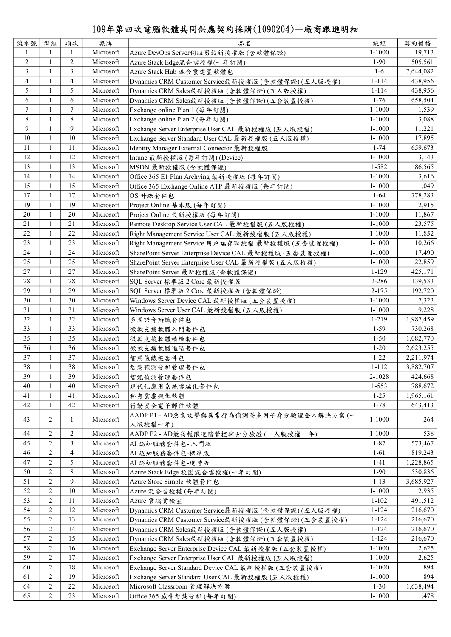## 109年第四次電腦軟體共同供應契約採購(1090204)—廠商跟進明細

| 流水號              | 群組             | 項次             | 廠牌        | 品名                                                     | 級距         | 契約價格      |
|------------------|----------------|----------------|-----------|--------------------------------------------------------|------------|-----------|
| 1                | $\mathbf{1}$   | -1             | Microsoft | Azure DevOps Server伺服器最新授權版 (含軟體保證)                    | $1 - 1000$ | 19,713    |
| $\mathfrak{2}$   | $\mathbf{1}$   | $\overline{2}$ | Microsoft | Azure Stack Edge混合雲授權(一年訂閱)                            | $1-90$     | 505,561   |
| $\overline{3}$   | 1              | 3              | Microsoft | Azure Stack Hub 混合雲建置軟體包                               | $1-6$      | 7,644,082 |
| 4                | 1              | 4              | Microsoft | Dynamics CRM Customer Service最新授權版 (含軟體保證)(五人版授權)      | $1 - 114$  | 438,956   |
| 5                | $\mathbf{1}$   | 5              | Microsoft | Dynamics CRM Sales最新授權版 (含軟體保證) (五人版授權)                | $1 - 114$  | 438,956   |
| 6                | 1              | 6              | Microsoft | Dynamics CRM Sales最新授權版 (含軟體保證)(五套裝置授權)                | $1 - 76$   | 658,504   |
| $\boldsymbol{7}$ | 1              | $\overline{7}$ | Microsoft | Exchange online Plan 1 (每年訂閱)                          | $1 - 1000$ | 1,539     |
| 8                | $\mathbf{1}$   | 8              | Microsoft | Exchange online Plan 2 (每年訂閱)                          | $1 - 1000$ | 3,088     |
| 9                | $\mathbf{1}$   | 9              | Microsoft | Exchange Server Enterprise User CAL 最新授權版 (五人版授權)      | $1 - 1000$ | 11,221    |
| 10               | $\mathbf{1}$   | 10             | Microsoft | Exchange Server Standard User CAL 最新授權版 (五人版授權)        | $1 - 1000$ | 17,895    |
| 11               | 1              | 11             | Microsoft | Identity Manager External Connector 最新授權版              | $1 - 74$   | 659,673   |
| 12               | $\mathbf{1}$   | 12             | Microsoft | Intune 最新授權版 (每年訂閱)(Device)                            | $1 - 1000$ | 3,143     |
| 13               | 1              | 13             | Microsoft | MSDN 最新授權版(含軟體保證)                                      | 1-582      | 86,565    |
| 14               | 1              | 14             | Microsoft | Office 365 E1 Plan Archving 最新授權版 (每年訂閱)               | $1 - 1000$ | 3,616     |
| 15               | $\mathbf{1}$   | 15             | Microsoft | Office 365 Exchange Online ATP 最新授權版 (每年訂閱)            | $1 - 1000$ | 1,049     |
| 17               | $\mathbf{1}$   | 17             | Microsoft | OS 升級套件包                                               | $1 - 64$   | 778,283   |
| 19               | $\mathbf{1}$   | 19             | Microsoft | Project Online 基本版 (每年訂閱)                              | $1 - 1000$ | 2,915     |
| 20               | $\mathbf{1}$   | 20             | Microsoft | Project Online 最新授權版 (每年訂閱)                            | $1 - 1000$ | 11,867    |
| 21               | $\mathbf{1}$   | 21             | Microsoft | Remote Desktop Service User CAL 最新授權版 (五人版授權)          | $1 - 1000$ | 23,575    |
| 22               | $\mathbf{1}$   | 22             | Microsoft | Right Management Service User CAL 最新授權版 (五人版授權)        | $1 - 1000$ | 11,852    |
| 23               | $\mathbf{1}$   | 23             | Microsoft | Right Management Service 用戶端存取授權 最新授權版 (五套裝置授權)        | $1 - 1000$ | 10,266    |
| 24               | $\mathbf{1}$   | 24             | Microsoft | SharePoint Server Enterprise Device CAL 最新授權版 (五套裝置授權) | $1 - 1000$ |           |
|                  |                |                |           |                                                        |            | 17,490    |
| 25               | $\mathbf{1}$   | 25             | Microsoft | SharePoint Server Enterprise User CAL 最新授權版 (五人版授權)    | $1 - 1000$ | 22,859    |
| 27               | 1              | 27             | Microsoft | SharePoint Server 最新授權版 (含軟體保證)                        | $1 - 129$  | 425,171   |
| 28               | $\mathbf{1}$   | 28             | Microsoft | SQL Server 標準版 2 Core 最新授權版                            | 2-286      | 139,533   |
| 29               | 1              | 29             | Microsoft | SQL Server 標準版 2 Core 最新授權版 (含軟體保證)                    | $2 - 175$  | 192,720   |
| 30               | 1              | 30             | Microsoft | Windows Server Device CAL 最新授權版 (五套裝置授權)               | $1 - 1000$ | 7,323     |
| 31               | 1              | 31             | Microsoft | Windows Server User CAL 最新授權版 (五人版授權)                  | $1 - 1000$ | 9,228     |
| 32               | 1              | 32             | Microsoft | 多國語音辨識套件包                                              | 1-219      | 1,987,459 |
| 33               | $\mathbf{1}$   | 33             | Microsoft | 微軟支援軟體入門套件包                                            | $1 - 59$   | 730,268   |
| 35               | 1              | 35             | Microsoft | 微軟支援軟體精緻套件包                                            | $1 - 50$   | 1,082,770 |
| 36               | 1              | 36             | Microsoft | 微軟支援軟體進階套件包                                            | $1 - 20$   | 2,623,255 |
| 37               | 1              | 37             | Microsoft | 智慧儀錶板套件包                                               | $1 - 22$   | 2,211,974 |
| 38               | 1              | 38             | Microsoft | 智慧預測分析管理套件包                                            | $1 - 112$  | 3,882,707 |
| 39               | 1              | 39             | Microsoft | 智能偵測管理套件包                                              | 2-1028     | 424,668   |
| 40               | 1              | 40             | Microsoft | 現代化應用系統雲端化套件包                                          | $1 - 553$  | 788,672   |
| 41               | 1              | 41             | Microsoft | 私有雲虛擬化軟體                                               | $1 - 25$   | 1,965,161 |
| 42               | 1              | 42             | Microsoft | 行動安全電子郵件軟體                                             | $1 - 78$   | 643,413   |
|                  |                |                |           | AADP P1-AD惡意攻擊與異常行為偵測暨多因子身分驗證登入解決方案(一                  |            |           |
| 43               | 2              | 1              | Microsoft | 人版授權一年)                                                | 1-1000     | 264       |
| 44               | 2              | 2              | Microsoft | AADP P2-AD最高權限進階管控與身分驗證(一人版授權一年)                       | $1 - 1000$ | 538       |
| 45               | 2              | 3              | Microsoft | AI認知服務套件包-入門版                                          | $1 - 87$   | 573,467   |
| 46               | $\overline{c}$ | $\overline{4}$ | Microsoft | AI 認知服務套件包-標準版                                         | $1 - 61$   | 819,243   |
| 47               | $\overline{c}$ | 5              | Microsoft | AI 認知服務套件包-進階版                                         | $1 - 41$   | 1,228,865 |
| 50               | $\overline{2}$ | 8              | Microsoft | Azure Stack Edge 校園混合雲授權(一年訂閱)                         | $1-90$     | 530,836   |
| 51               | $\overline{c}$ | 9              | Microsoft |                                                        | $1 - 13$   | 3,685,927 |
| 52               | $\overline{c}$ | 10             | Microsoft | Azure Store Simple 軟體套件包                               | $1 - 1000$ | 2,935     |
| 53               | 2              | 11             | Microsoft | Azure 混合雲授權 (每年訂閱)                                     |            |           |
| 54               | 2              | 12             | Microsoft | Azure 雲端實驗室                                            | $1 - 102$  | 491,512   |
|                  |                |                |           | Dynamics CRM Customer Service最新授權版 (含軟體保證)(五人版授權)      | $1 - 124$  | 216,670   |
| 55               | 2              | 13             | Microsoft | Dynamics CRM Customer Service最新授權版 (含軟體保證)(五套裝置授權)     | $1 - 124$  | 216,670   |
| 56               | 2              | 14             | Microsoft | Dynamics CRM Sales最新授權版 (含軟體保證)(五人版授權)                 | $1 - 124$  | 216,670   |
| 57               | $\overline{c}$ | 15             | Microsoft | Dynamics CRM Sales最新授權版 (含軟體保證)(五套裝置授權)                | $1 - 124$  | 216,670   |
| 58               | $\overline{2}$ | 16             | Microsoft | Exchange Server Enterprise Device CAL 最新授權版 (五套裝置授權)   | $1 - 1000$ | 2,625     |
| 59               | $\overline{2}$ | 17             | Microsoft | Exchange Server Enterprise User CAL 最新授權版 (五人版授權)      | $1 - 1000$ | 2,625     |
| 60               | $\overline{2}$ | 18             | Microsoft | Exchange Server Standard Device CAL 最新授權版 (五套裝置授權)     | $1 - 1000$ | 894       |
| 61               | $\overline{2}$ | 19             | Microsoft | Exchange Server Standard User CAL 最新授權版 (五人版授權)        | $1 - 1000$ | 894       |
| 64               | $\overline{2}$ | 22             | Microsoft | Microsoft Classroom 管理解決方案                             | $1 - 30$   | 1,638,494 |
| 65               | 2              | 23             | Microsoft | Office 365 威脅智慧分析 (每年訂閱)                               | 1-1000     | 1,478     |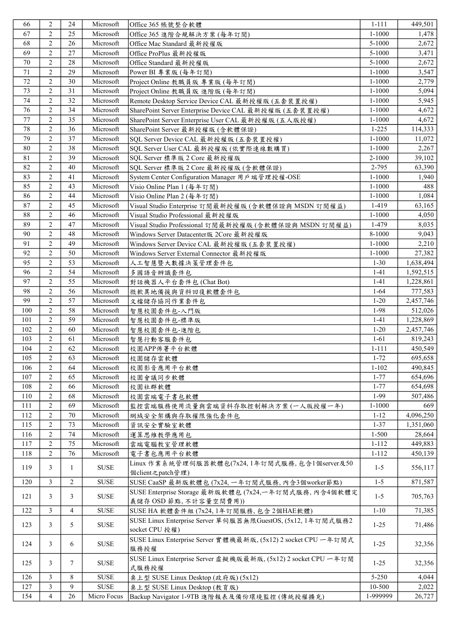| 66  | $\overline{2}$ | 24             | Microsoft   | Office 365 帳號整合軟體                                                               | $1 - 111$  | 449,501   |
|-----|----------------|----------------|-------------|---------------------------------------------------------------------------------|------------|-----------|
| 67  | $\overline{2}$ | 25             | Microsoft   | Office 365 進階合規解決方案 (每年訂閱)                                                      | $1 - 1000$ | 1,478     |
| 68  | $\mathfrak{2}$ | 26             | Microsoft   | Office Mac Standard 最新授權版                                                       | 5-1000     | 2,672     |
| 69  | $\overline{2}$ | 27             | Microsoft   | Office ProPlus 最新授權版                                                            | 5-1000     | 3,471     |
| 70  | $\overline{2}$ | 28             | Microsoft   | Office Standard 最新授權版                                                           | 5-1000     | 2,672     |
| 71  | $\overline{c}$ | 29             | Microsoft   | Power BI 專業版 (每年訂閱)                                                             | $1 - 1000$ | 3,547     |
| 72  | $\overline{2}$ | 30             | Microsoft   | Project Online 教職員版 專業版 (每年訂閱)                                                  | $1 - 1000$ | 2,779     |
| 73  | $\mathfrak{2}$ | 31             | Microsoft   | Project Online 教職員版 進階版 (每年訂閱)                                                  | $1 - 1000$ | 5,094     |
| 74  | $\overline{2}$ | 32             | Microsoft   | Remote Desktop Service Device CAL 最新授權版 (五套裝置授權)                                | $1 - 1000$ | 5,945     |
| 76  | $\mathfrak{2}$ | 34             | Microsoft   | SharePoint Server Enterprise Device CAL 最新授權版 (五套裝置授權)                          | $1 - 1000$ | 4,672     |
| 77  | $\overline{c}$ | 35             | Microsoft   | SharePoint Server Enterprise User CAL 最新授權版 (五人版授權)                             | $1 - 1000$ | 4,672     |
| 78  | $\overline{2}$ | 36             | Microsoft   | SharePoint Server 最新授權版 (含軟體保證)                                                 | $1 - 225$  | 114,333   |
| 79  | $\mathfrak{2}$ | 37             | Microsoft   | SQL Server Device CAL 最新授權版 (五套裝置授權)                                            | $1 - 1000$ | 11,072    |
| 80  | $\mathfrak{2}$ | 38             | Microsoft   | SQL Server User CAL 最新授權版 (依實際連線數購買)                                            | $1 - 1000$ | 2,267     |
|     |                |                | Microsoft   |                                                                                 |            |           |
| 81  | $\mathfrak{2}$ | 39             | Microsoft   | SQL Server 標準版 2 Core 最新授權版                                                     | 2-1000     | 39,102    |
| 82  | $\mathfrak{2}$ | 40             |             | SQL Server 標準版 2 Core 最新授權版 (含軟體保證)                                             | 2-795      | 63,390    |
| 83  | $\overline{2}$ | 41             | Microsoft   | System Center Configuration Manager 用戶端管理授權-OSE                                 | $1 - 1000$ | 1,940     |
| 85  | $\overline{2}$ | 43             | Microsoft   | Visio Online Plan 1 (每年訂閱)                                                      | $1 - 1000$ | 488       |
| 86  | $\overline{2}$ | 44             | Microsoft   | Visio Online Plan 2 (每年訂閱)                                                      | $1 - 1000$ | 1,084     |
| 87  | $\overline{2}$ | 45             | Microsoft   | Visual Studio Enterprise 訂閱最新授權版 (含軟體保證與 MSDN 訂閱權益)                             | 1-419      | 63,165    |
| 88  | $\overline{c}$ | 46             | Microsoft   | Visual Studio Professional 最新授權版                                                | $1 - 1000$ | 4,050     |
| 89  | $\overline{2}$ | 47             | Microsoft   | Visual Studio Professional 訂閱最新授權版 (含軟體保證與 MSDN 訂閱權益)                           | 1-479      | 8,035     |
| 90  | $\overline{2}$ | 48             | Microsoft   | Windows Server Datacenter版 2Core 最新授權版                                          | 8-1000     | 9,043     |
| 91  | $\overline{2}$ | 49             | Microsoft   | Windows Server Device CAL 最新授權版 (五套裝置授權)                                        | $1 - 1000$ | 2,210     |
| 92  | $\overline{2}$ | 50             | Microsoft   | Windows Server External Connector 最新授權版                                         | $1 - 1000$ | 27,382    |
| 95  | $\overline{2}$ | 53             | Microsoft   | 人工智慧暨大數據決策管理套件包                                                                 | $1 - 30$   | 1,638,494 |
| 96  | $\overline{2}$ | 54             | Microsoft   | 多國語音辨識套件包                                                                       | $1 - 41$   | 1,592,515 |
| 97  | $\overline{2}$ | 55             | Microsoft   | 對話機器人平台套件包 (Chat Bot)                                                           | $1 - 41$   | 1,228,861 |
| 98  | $\overline{2}$ | 56             | Microsoft   | 微軟異地備援與資料回復軟體套件包                                                                | $1 - 64$   | 777,583   |
| 99  | $\overline{2}$ | 57             | Microsoft   | 文檔儲存協同作業套件包                                                                     | $1 - 20$   | 2,457,746 |
| 100 | $\overline{2}$ | 58             | Microsoft   | 智慧校園套件包-入門版                                                                     | 1-98       | 512,026   |
| 101 | $\overline{2}$ | 59             | Microsoft   | 智慧校園套件包-標準版                                                                     | $1 - 41$   | 1,228,869 |
| 102 | $\overline{2}$ | 60             | Microsoft   | 智慧校園套件包-進階包                                                                     | $1 - 20$   | 2,457,746 |
| 103 | $\overline{2}$ | 61             | Microsoft   | 智慧行動客服套件包                                                                       | $1-61$     | 819,243   |
| 104 | $\overline{c}$ | 62             | Microsoft   | 校園APP佈署平台軟體                                                                     | $1 - 111$  | 450,549   |
| 105 | $\sqrt{2}$     | 63             | Microsoft   |                                                                                 | $1 - 72$   |           |
|     |                |                |             | 校園儲存雲軟體                                                                         |            | 695,658   |
| 106 | 2              | 64             | Microsoft   | 校園影音應用平台軟體                                                                      | $1 - 102$  | 490,845   |
| 107 | 2              | 65             | Microsoft   | 校園會議同步軟體                                                                        | $1 - 77$   | 654,696   |
| 108 | 2              | 66             | Microsoft   | 校園社群軟體                                                                          | $1 - 77$   | 654,698   |
| 110 | $\overline{2}$ | 68             | Microsoft   | 校園雲端電子書包軟體                                                                      | 1-99       | 507,486   |
| 111 | $\overline{2}$ | 69             | Microsoft   | 監控雲端服務使用流量與雲端資料存取控制解決方案(一人版授權一年)                                                | 1-1000     | 669       |
| 112 | 2              | 70             | Microsoft   | 網域安全架構與存取權限強化套件包                                                                | $1 - 12$   | 4,096,250 |
| 115 | 2              | 73             | Microsoft   | 資訊安全實驗室軟體                                                                       | $1 - 37$   | 1,351,060 |
| 116 | $\overline{2}$ | 74             | Microsoft   | 運算思維教學應用包                                                                       | $1 - 500$  | 28,664    |
| 117 | $\overline{2}$ | 75             | Microsoft   | 雲端電腦教室管理軟體                                                                      | $1 - 112$  | 449,883   |
| 118 | $\overline{2}$ | 76             | Microsoft   | 電子書包應用平台軟體                                                                      | $1 - 112$  | 450,139   |
| 119 | 3              | 1              | <b>SUSE</b> | Linux作業系統管理伺服器軟體包(7x24,1年訂閱式服務,包含1個server及50                                    | $1 - 5$    | 556,117   |
| 120 | $\mathfrak{Z}$ | $\overline{2}$ | <b>SUSE</b> | 個client之patch管理)<br>SUSE CaaSP 最新版軟體包 (7x24, 一年訂閱式服務, 內含3個worker節點)             | $1 - 5$    | 871,587   |
|     |                |                |             |                                                                                 |            |           |
| 121 | 3              | 3              | <b>SUSE</b> | SUSE Enterprise Storage 最新版軟體包 (7x24,一年訂閱式服務, 內含4個軟體定<br>義儲存 OSD 節點, 不計容量空間費用)) | $1-5$      | 705,763   |
| 122 | 3              | 4              | <b>SUSE</b> | SUSE HA 軟體套件組 (7x24,1年訂閱服務,包含2個HAE軟體)                                           | $1 - 10$   | 71,385    |
| 123 | 3              | 5              | <b>SUSE</b> | SUSE Linux Enterprise Server 單伺服器無限GuestOS, (5x12, 1年訂閱式服務2<br>socket CPU 授權)   | $1-25$     | 71,486    |
| 124 | 3              | 6              | <b>SUSE</b> | SUSE Linux Enterprise Server 實體機最新版, (5x12) 2 socket CPU 一年訂閱式<br>服務授權          | $1 - 25$   | 32,356    |
| 125 | 3              | $\tau$         | <b>SUSE</b> | SUSE Linux Enterprise Server 虚擬機版最新版, (5x12) 2 socket CPU 一年訂閱<br>式服務授權         | $1 - 25$   | 32,356    |
| 126 | 3              | 8              | <b>SUSE</b> | 桌上型 SUSE Linux Desktop (政府版) (5x12)                                             | $5 - 250$  | 4,044     |
| 127 | $\mathfrak{Z}$ | 9              | <b>SUSE</b> | 桌上型 SUSE Linux Desktop (教育版)                                                    | 10-500     | 2,022     |
| 154 | $\overline{4}$ | 26             | Micro Focus | Backup Navigator 1-9TB 進階報表及備份環境監控 (傳統授權擴充)                                     | 1-999999   | 26,727    |
|     |                |                |             |                                                                                 |            |           |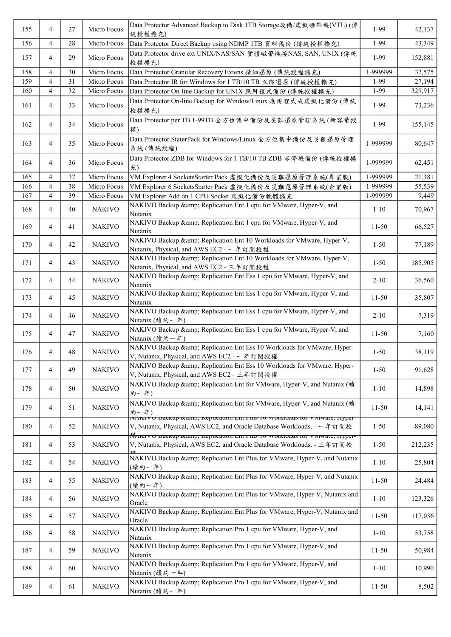| 155 | 4              | 27 | Micro Focus   | Data Protector Advanced Backup to Disk 1TB Storage設備/虛擬磁帶機(VTL) (傳<br>統授權擴充)                                                                                                                                                                         | 1-99      | 42,137  |
|-----|----------------|----|---------------|------------------------------------------------------------------------------------------------------------------------------------------------------------------------------------------------------------------------------------------------------|-----------|---------|
| 156 | 4              | 28 | Micro Focus   | Data Protector Direct Backup using NDMP 1TB 資料備份 (傳統授權擴充)                                                                                                                                                                                            | 1-99      | 43,349  |
| 157 | 4              | 29 | Micro Focus   | Data Protector drive ext UNIX/NAS/SAN 實體磁帶機接NAS, SAN, UNIX (傳統<br>授權擴充)                                                                                                                                                                              | 1-99      | 152,881 |
| 158 | 4              | 30 | Micro Focus   | Data Protector Granular Recovery Extens 精細還原 (傳統授權擴充)                                                                                                                                                                                                | 1-999999  | 32,575  |
| 159 | $\overline{4}$ | 31 | Micro Focus   | Data Protector IR for Windows for 1 TB/10 TB 立即還原 (傳統授權擴充)                                                                                                                                                                                           | 1-99      | 27,194  |
| 160 | 4              | 32 | Micro Focus   | Data Protector On-line Backup for UNIX 應用程式備份 (傳統授權擴充)                                                                                                                                                                                               | 1-99      | 329,917 |
| 161 | 4              | 33 | Micro Focus   | Data Protector On-line Backup for Window/Linux 應用程式或虛擬化備份 (傳統<br>授權擴充)                                                                                                                                                                               | 1-99      | 73,236  |
| 162 | 4              | 34 | Micro Focus   | Data Protector per TB 1-99TB 全方位集中備份及災難還原管理系統 (新容量授<br>權)                                                                                                                                                                                            | 1-99      | 155,145 |
| 163 | 4              | 35 | Micro Focus   | Data Protector StaterPack for Windows/Linux 全方位集中備份及災難還原管理<br>系統(傳統授權)                                                                                                                                                                               | 1-999999  | 80,647  |
| 164 | 4              | 36 | Micro Focus   | Data Protector ZDB for Windows for 1 TB/10 TB ZDB 零停機備份 (傳統授權擴<br>充)                                                                                                                                                                                 | 1-999999  | 62,451  |
| 165 | 4              | 37 | Micro Focus   | VM Explorer 4 SocketsStarter Pack 虚擬化備份及災難還原管理系統(專業版)                                                                                                                                                                                                | 1-999999  | 21,381  |
| 166 | 4              | 38 | Micro Focus   | VM Explorer 6 SocketsStarter Pack 虛擬化備份及災難還原管理系統(企業版)                                                                                                                                                                                                | 1-999999  | 55,539  |
| 167 | $\overline{4}$ | 39 | Micro Focus   | VM Explorer Add on 1 CPU Socket 虚擬化備份軟體擴充                                                                                                                                                                                                            | 1-999999  | 9,449   |
| 168 | 4              | 40 | <b>NAKIVO</b> | NAKIVO Backup & Replication Ent 1 cpu for VMware, Hyper-V, and<br>Nutanix                                                                                                                                                                            | $1 - 10$  | 70,967  |
| 169 | 4              | 41 | <b>NAKIVO</b> | NAKIVO Backup & Replication Ent 1 cpu for VMware, Hyper-V, and<br>Nutanix                                                                                                                                                                            | $11 - 50$ | 66,527  |
| 170 | 4              | 42 | <b>NAKIVO</b> | NAKIVO Backup & Replication Ent 10 Workloads for VMware, Hyper-V,<br>Nutanix, Physical, and AWS EC2 - 一年訂閱授權                                                                                                                                         | $1 - 50$  | 77,189  |
| 171 | 4              | 43 | <b>NAKIVO</b> | NAKIVO Backup & Replication Ent 10 Workloads for VMware, Hyper-V,<br>Nutanix, Physical, and AWS EC2 - 三年訂閱授權                                                                                                                                         | $1 - 50$  | 185,905 |
| 172 | 4              | 44 | <b>NAKIVO</b> | NAKIVO Backup & Replication Ent Ess 1 cpu for VMware, Hyper-V, and<br>Nutanix                                                                                                                                                                        | $2 - 10$  | 36,560  |
| 173 | 4              | 45 | <b>NAKIVO</b> | NAKIVO Backup & Replication Ent Ess 1 cpu for VMware, Hyper-V, and<br>Nutanix                                                                                                                                                                        | $11 - 50$ | 35,807  |
| 174 | 4              | 46 | <b>NAKIVO</b> | NAKIVO Backup & Replication Ent Ess 1 cpu for VMware, Hyper-V, and<br>Nutanix (續約一年)                                                                                                                                                                 | $2 - 10$  | 7,319   |
| 175 | 4              | 47 | <b>NAKIVO</b> | NAKIVO Backup & Replication Ent Ess 1 cpu for VMware, Hyper-V, and<br>Nutanix (續約一年)                                                                                                                                                                 | $11-50$   | 7,160   |
| 176 | 4              | 48 | <b>NAKIVO</b> | NAKIVO Backup & Replication Ent Ess 10 Workloads for VMware, Hyper-<br>V, Nutanix, Physical, and AWS EC2 - 一年訂閱授權                                                                                                                                    | $1 - 50$  | 38,119  |
| 177 | 4              | 49 | <b>NAKIVO</b> | NAKIVO Backup & Replication Ent Ess 10 Workloads for VMware, Hyper-<br>V, Nutanix, Physical, and AWS EC2 - 三年訂閱授權                                                                                                                                    | $1 - 50$  | 91,628  |
| 178 | 4              | 50 | <b>NAKIVO</b> | NAKIVO Backup & Replication Ent for VMware, Hyper-V, and Nutanix (續<br>約一年)                                                                                                                                                                          | $1 - 10$  | 14,898  |
| 179 | 4              | 51 | <b>NAKIVO</b> | NAKIVO Backup & Replication Ent for VMware, Hyper-V, and Nutanix (續<br>約一年)                                                                                                                                                                          | $11 - 50$ | 14,141  |
| 180 | 4              | 52 | <b>NAKIVO</b> | .<br>IVAKIVO Dackup &, Repheation Ent ruis 10 workloaus for viviware, riyper-<br>V, Nutanix, Physical, AWS EC2, and Oracle Database Workloads. - 一年訂閱授<br>.<br><del>Млктуо баскир осанир, кернсанон енегтив то workioaus for viviware, rryper-</del> | $1 - 50$  | 89,080  |
| 181 | 4              | 53 | <b>NAKIVO</b> | V, Nutanix, Physical, AWS EC2, and Oracle Database Workloads. - 三年訂閱授                                                                                                                                                                                | $1 - 50$  | 212,235 |
| 182 | 4              | 54 | <b>NAKIVO</b> | NAKIVO Backup & Replication Ent Plus for VMware, Hyper-V, and Nutanix<br>(續約一年)                                                                                                                                                                      | $1 - 10$  | 25,804  |
| 183 | 4              | 55 | <b>NAKIVO</b> | NAKIVO Backup & Replication Ent Plus for VMware, Hyper-V, and Nutanix<br>(續約一年)                                                                                                                                                                      | $11 - 50$ | 24,484  |
| 184 | 4              | 56 | <b>NAKIVO</b> | NAKIVO Backup & Replication Ent Plus for VMware, Hyper-V, Nutanix and<br>Oracle                                                                                                                                                                      | $1 - 10$  | 123,326 |
| 185 | 4              | 57 | <b>NAKIVO</b> | NAKIVO Backup & Replication Ent Plus for VMware, Hyper-V, Nutanix and<br>Oracle                                                                                                                                                                      | $11 - 50$ | 117,036 |
| 186 | 4              | 58 | <b>NAKIVO</b> | NAKIVO Backup & Replication Pro 1 cpu for VMware, Hyper-V, and<br>Nutanix                                                                                                                                                                            | $1 - 10$  | 53,758  |
| 187 | 4              | 59 | <b>NAKIVO</b> | NAKIVO Backup & Replication Pro 1 cpu for VMware, Hyper-V, and<br>Nutanix                                                                                                                                                                            | $11-50$   | 50,984  |
| 188 | 4              | 60 | <b>NAKIVO</b> | NAKIVO Backup & Replication Pro 1 cpu for VMware, Hyper-V, and<br>Nutanix (續約一年)                                                                                                                                                                     | $1 - 10$  | 10,990  |
| 189 | 4              | 61 | <b>NAKIVO</b> | NAKIVO Backup & Replication Pro 1 cpu for VMware, Hyper-V, and<br>Nutanix (續約一年)                                                                                                                                                                     | $11 - 50$ | 8,502   |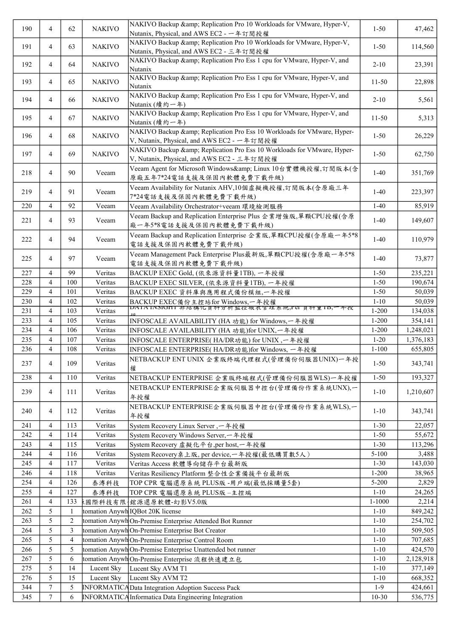| 190 | 4              | 62             | <b>NAKIVO</b> | NAKIVO Backup & Replication Pro 10 Workloads for VMware, Hyper-V,<br>Nutanix, Physical, and AWS EC2 - 一年訂閱授權      | $1 - 50$   | 47,462    |
|-----|----------------|----------------|---------------|-------------------------------------------------------------------------------------------------------------------|------------|-----------|
| 191 | 4              | 63             | <b>NAKIVO</b> | NAKIVO Backup & Replication Pro 10 Workloads for VMware, Hyper-V,<br>Nutanix, Physical, and AWS EC2 - 三年訂閱授權      | $1 - 50$   | 114,560   |
| 192 | 4              | 64             | <b>NAKIVO</b> | NAKIVO Backup & Replication Pro Ess 1 cpu for VMware, Hyper-V, and<br>Nutanix                                     | $2 - 10$   | 23,391    |
| 193 | $\overline{4}$ | 65             | <b>NAKIVO</b> | NAKIVO Backup & Replication Pro Ess 1 cpu for VMware, Hyper-V, and<br>Nutanix                                     | $11 - 50$  | 22,898    |
| 194 | $\overline{4}$ | 66             | <b>NAKIVO</b> | NAKIVO Backup & Replication Pro Ess 1 cpu for VMware, Hyper-V, and<br>Nutanix (續約一年)                              | $2 - 10$   | 5,561     |
| 195 | $\overline{4}$ | 67             | <b>NAKIVO</b> | NAKIVO Backup & Replication Pro Ess 1 cpu for VMware, Hyper-V, and<br>Nutanix (續約一年)                              | $11 - 50$  | 5,313     |
| 196 | 4              | 68             | <b>NAKIVO</b> | NAKIVO Backup & Replication Pro Ess 10 Workloads for VMware, Hyper-<br>V, Nutanix, Physical, and AWS EC2 - 一年訂閱授權 | $1 - 50$   | 26,229    |
| 197 | 4              | 69             | <b>NAKIVO</b> | NAKIVO Backup & Replication Pro Ess 10 Workloads for VMware, Hyper-<br>V, Nutanix, Physical, and AWS EC2 - 三年訂閱授權 | $1 - 50$   | 62,750    |
| 218 | 4              | 90             | Veeam         | Veeam Agent for Microsoft Windows& Linux 10台實體機授權,訂閱版本(含<br>原廠五年7*24電話支援及保固內軟體免費下載升級)                             | $1-40$     | 351,769   |
| 219 | 4              | 91             | Veeam         | Veeam Availability for Nutanix AHV,10個虛擬機授權,訂閱版本(含原廠三年<br>7*24電話支援及保固內軟體免費下載升級)                                   | $1-40$     | 223,397   |
| 220 | 4              | 92             | Veeam         | Veeam Availability Orchestrator+veeam 環境檢測服務                                                                      | $1-40$     | 85,919    |
|     |                |                |               |                                                                                                                   |            |           |
| 221 | 4              | 93             | Veeam         | Veeam Backup and Replication Enterprise Plus 企業增強版,單顆CPU授權(含原<br>廠一年5*8電話支援及保固內軟體免費下載升級)                          | $1-40$     | 149,607   |
| 222 | 4              | 94             | Veeam         | Veeam Backup and Replication Enterprise 企業版,單顆CPU授權(含原廠一年5*8<br>電話支援及保固內軟體免費下載升級)                                 | $1-40$     | 110,979   |
| 225 | 4              | 97             | Veeam         | Veeam Management Pack Enterprise Plus最新版,單顆CPU授權(含原廠一年5*8<br>電話支援及保固內軟體免費下載升級)                                    | $1-40$     | 73,877    |
| 227 | 4              | 99             | Veritas       | BACKUP EXEC Gold, (依來源資料量1TB), 一年授權                                                                               | $1 - 50$   | 235,221   |
| 228 | 4              | 100            | Veritas       | BACKUP EXEC SILVER, (依來源資料量1TB), 一年授權                                                                             | $1 - 50$   | 190,674   |
| 229 | 4              | 101            | Veritas       | BACKUP EXEC 資料庫與應用程式備份模組,一年授權                                                                                     | $1 - 50$   | 50,039    |
| 230 | 4              | 102            | Veritas       | BACKUP EXEC備份主控站for Windows,一年授權                                                                                  | $1 - 10$   | 50,039    |
| 231 | 4              | 103            | Veritas       | DAIA INSIUNI 非結構化貝科分析監控報衣官理系統,PU 貝科里ID,一平孜                                                                        | $1 - 200$  | 134,038   |
| 233 | $\overline{4}$ | 105            | Veritas       | INFOSCALE AVAILABILITY (HA 功能) for Windows,一年授權                                                                   | $1 - 200$  | 354,141   |
| 234 | 4              | 106            | Veritas       | INFOSCALE AVAILABILITY (HA 功能)for UNIX, 一年授權                                                                      | $1 - 200$  | 1,248,021 |
| 235 | 4              | 107            | Veritas       | INFOSCALE ENTERPRISE(HA/DR功能) for UNIX, 一年授權                                                                      | $1-20$     | 1,376,183 |
| 236 | 4              | 108            | Veritas       | INFOSCALE ENTERPRISE(HA/DR功能)for Windows, 一年授權                                                                    | $1 - 100$  | 655,805   |
| 237 | 4              | 109            | Veritas       | NETBACKUP ENT UNIX 企業版終端代理程式(管理備份伺服器UNIX)一年授<br>權                                                                 | $1 - 50$   | 343,741   |
| 238 | 4              | 110            | Veritas       | NETBACKUP ENTERPRISE 企業版終端程式(管理備份伺服器WLS)一年授權                                                                      | $1 - 50$   | 193,327   |
| 239 | 4              | 111            | Veritas       | NETBACKUP ENTERPRISE企業版伺服器中控台(管理備份作業系統UNX),一<br>年授權                                                               | $1 - 10$   | 1,210,607 |
| 240 | 4              | 112            | Veritas       | NETBACKUP ENTERPRISE企業版伺服器中控台(管理備份作業系統WLS),一<br>年授權                                                               | $1 - 10$   | 343,741   |
| 241 | 4              | 113            | Veritas       | System Recovery Linux Server, 一年授權                                                                                | $1 - 30$   | 22,057    |
| 242 | 4              | 114            | Veritas       | System Recovery Windows Server, 一年授權                                                                              | $1 - 50$   | 55,672    |
| 243 | $\overline{4}$ | 115            | Veritas       | System Recovery 虚擬化平台,per host,一年授權                                                                               | $1 - 30$   | 113,296   |
| 244 | $\overline{4}$ | 116            | Veritas       | System Recovery桌上版, per device,一年授權(最低購買數5人)                                                                      | $5 - 100$  | 3,488     |
| 245 | 4              | 117            | Veritas       | Veritas Access 軟體導向儲存平台最新版                                                                                        | $1 - 30$   | 143,030   |
| 246 | 4              | 118            | Veritas       | Veritas Resiliency Platform 整合性企業備援平台最新版                                                                          | $1 - 200$  | 38,965    |
| 254 | 4              | 126            | 泰溥科技          | TOP CPR 電腦還原系統 PLUS版-用戶端(最低採購量5套)                                                                                 | 5-200      | 2,829     |
| 255 | 4              | 127            | 泰溥科技          | TOP CPR 電腦還原系統 PLUS版-主控端                                                                                          | $1 - 10$   | 24,265    |
| 261 | 4              | 133            |               |                                                                                                                   | $1 - 1000$ | 2,214     |
| 262 | 5              | 1              |               | tomation Anywh IQBot 20K license                                                                                  | $1 - 10$   | 849,242   |
| 263 | 5              | $\overline{2}$ |               | tomation Anywh On-Premise Enterprise Attended Bot Runner                                                          | $1 - 10$   | 254,702   |
| 264 | 5              | 3              |               | tomation Anywh On-Premise Enterprise Bot Creator                                                                  | $1 - 10$   | 509,505   |
| 265 | 5              | $\overline{4}$ |               | tomation Anywh On-Premise Enterprise Control Room                                                                 | $1 - 10$   | 707,685   |
| 266 | 5              | 5              |               | tomation Anywh On-Premise Enterprise Unattended bot runner                                                        | $1 - 10$   | 424,570   |
| 267 | 5              | 6              |               | tomation Anywh On-Premise Enterprise 流程快速建立包                                                                      | $1 - 10$   | 2,128,918 |
| 275 | 5              | 14             | Lucent Sky    | Lucent Sky AVM T1                                                                                                 | $1 - 10$   | 377,149   |
| 276 | 5              | 15             | Lucent Sky    | Lucent Sky AVM T2                                                                                                 | $1 - 10$   | 668,352   |
| 344 | 7              | 5              |               | <b>INFORMATICA Data Integration Adoption Success Pack</b>                                                         | $1-9$      | 424,661   |
| 345 | $\tau$         | 6              |               | <b>INFORMATICA</b> Informatica Data Engineering Integration                                                       | $10 - 30$  | 536,775   |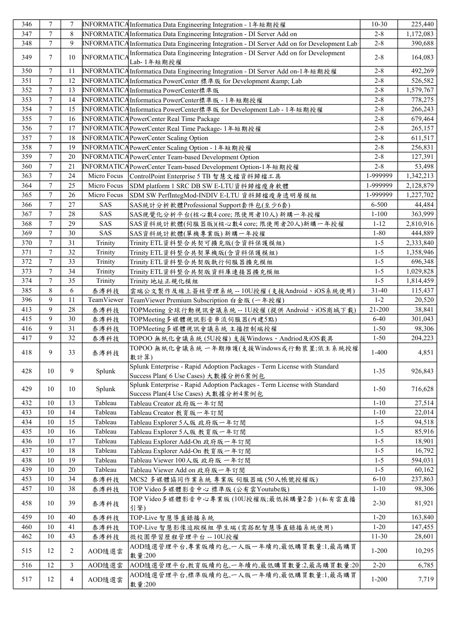| 346 | 7              | 7              |                    | INFORMATICAInformatica Data Engineering Integration - 1年短期授權                                                     | $10-30$            | 225,440   |
|-----|----------------|----------------|--------------------|------------------------------------------------------------------------------------------------------------------|--------------------|-----------|
| 347 | 7              | 8              |                    | <b>INFORMATICA Informatica Data Engineering Integration - DI Server Add on</b>                                   | $2 - 8$            | 1,172,083 |
| 348 | $\tau$         | 9              |                    | INFORMATICA Informatica Data Engineering Integration - DI Server Add on for Development Lab                      | $2 - 8$            | 390,688   |
|     |                |                |                    | Informatica Data Engineering Integration - DI Server Add on for Development                                      |                    |           |
| 349 | 7              | 10             | <b>INFORMATICA</b> | Lab-1年短期授權                                                                                                       | $2 - 8$            | 164,083   |
| 350 | $\overline{7}$ | 11             |                    | INFORMATICAInformatica Data Engineering Integration - DI Server Add on-1年短期授權                                    | $2 - 8$            | 492,269   |
| 351 | $\tau$         | 12             |                    | INFORMATICAInformatica PowerCenter 標準版 for Development & Lab                                                     | $2 - 8$            | 526,582   |
| 352 | $\tau$         | 13             |                    | <b>INFORMATICA</b> Informatica PowerCenter標準版                                                                    | $2 - 8$            | 1,579,767 |
| 353 | $\tau$         | 14             |                    | INFORMATICAInformatica PowerCenter標準版 - 1年短期授權                                                                   | $2 - 8$            | 778,275   |
| 354 | $\overline{7}$ | 15             |                    | <b>INFORMATICAInformatica PowerCenter標準版 for Development Lab - 1年短期授權</b>                                        | $2 - 8$            | 266,243   |
| 355 | $\tau$         | 16             |                    | INFORMATICA PowerCenter Real Time Package                                                                        | $2 - 8$            | 679,464   |
| 356 | $\overline{7}$ | 17             |                    | <b>INFORMATICA PowerCenter Real Time Package-1年短期授權</b>                                                          | $2 - 8$            | 265,157   |
| 357 | 7              | 18             |                    | INFORMATICA PowerCenter Scaling Option                                                                           | $2 - 8$            | 611,517   |
| 358 | 7              | 19             |                    | INFORMATICA PowerCenter Scaling Option - 1年短期授權                                                                  | $2 - 8$            | 256,831   |
| 359 | 7              | 20             |                    | INFORMATICA PowerCenter Team-based Development Option                                                            | $2 - 8$            | 127,391   |
| 360 | $\tau$         | 21             |                    | INFORMATICA PowerCenter Team-based Development Option-1年短期授權                                                     | $2 - 8$            | 53,498    |
| 363 | $\tau$         | 24             | Micro Focus        | ControlPoint Enterprise 5 TB 智慧文檔資料歸檔工具                                                                          | 1-999999           | 1,342,213 |
| 364 | $\tau$         | 25             | Micro Focus        | SDM platform 1 SRC DB SW E-LTU資料歸檔瘦身軟體                                                                           | 1-999999           | 2,128,879 |
| 365 | $\tau$         | 26             | Micro Focus        | SDM SW PerfIntegMod-INDIV E-LTU 資料歸檔瘦身透明層模組                                                                      | 1-999999           | 1,227,702 |
| 366 | $\overline{7}$ | 27             | <b>SAS</b>         | SAS統計分析軟體Professional Support套件包(至少6套)                                                                           | 6-500              | 44,484    |
| 367 | $\overline{7}$ | 28             | SAS                | SAS視覺化分析平台(核心數4 core; 限使用者10人) 新購一年授權                                                                            | $1 - 100$          | 363,999   |
| 368 | $\tau$         | 29             | SAS                | SAS資料統計軟體(伺服器版)(核心數4 core; 限使用者20人)新購一年授權                                                                        | $1 - 12$           | 2,810,916 |
| 369 | 7              | 30             | <b>SAS</b>         | SAS資料統計軟體(單機專業版) 新購一年授權                                                                                          | $1 - 80$           | 444,889   |
| 370 | $\tau$         | 31             | Trinity            | Trinity ETL資料整合共契可擴充版(含資料保護模組)                                                                                   | $1 - 5$            | 2,333,840 |
| 371 | 7              | 32             | Trinity            | Trinity ETL資料整合共契單機版(含資料保護模組)                                                                                    | $1 - 5$            | 1,358,946 |
| 372 | $\overline{7}$ | 33             | Trinity            |                                                                                                                  | $1 - 5$            | 696,348   |
| 373 | $\tau$         | 34             |                    | Trinity ETL資料整合共契版執行伺服器擴充模組                                                                                      |                    | 1,029,828 |
| 374 | $\overline{7}$ | 35             | Trinity            | Trinity ETL資料整合共契版資料庫連接器擴充模組                                                                                     | $1 - 5$<br>$1 - 5$ |           |
|     |                |                | Trinity            | Trinity 地址正規化模組                                                                                                  |                    | 1,814,459 |
| 385 | 8              | 6              | 泰溥科技               | 雲端公文製作及線上簽核管理系統 -- 10U授權 (支援Android、iOS系統使用)                                                                     | $31 - 40$          | 115,437   |
| 396 | 9              | 11             | TeamViewer         | TeamViewer Premium Subscription 白金版 (一年授權)                                                                       | $1 - 2$            | 20,520    |
| 413 | 9              | 28             | 泰溥科技               | TOPMeeting 全球行動視訊會議系統 -- 1U授權 (提供 Android、iOS商城下載)                                                               | 21-200             | 38,841    |
| 415 | 9              | 30             | 泰溥科技               | TOPMeeting多媒體視訊影音串流伺服器(內建5點)                                                                                     | $6 - 40$           | 301,043   |
| 416 | 9              | 31             | 泰溥科技               | TOPMeeting多媒體視訊會議系統 主播控制端授權                                                                                      | $1 - 50$           | 98,306    |
| 417 | 9              | 32             | 泰溥科技               | TOPOO 無紙化會議系統(5U授權)支援Windows、Andriod及iOS載具                                                                       | $1 - 50$           | 204,223   |
| 418 | 9              | 33             | 泰溥科技               | TOPOO 無紙化會議系統 一年期維護(支援Windows或行動裝置;依主系統授權<br>數計算)                                                                | $1-400$            | 4,851     |
| 428 | 10             | 9              | Splunk             | Splunk Enterprise - Rapid Adoption Packages - Term License with Standard<br>Success Plan( 6 Use Cases) 大數據分析6案例包 | $1 - 35$           | 926,843   |
| 429 | 10             | 10             | Splunk             | Splunk Enterprise - Rapid Adoption Packages - Term License with Standard<br>Success Plan(4 Use Cases) 大數據分析4案例包  | $1 - 50$           | 716,628   |
| 432 | 10             | 13             | Tableau            | Tableau Creator 政府版一年訂閱                                                                                          | $1 - 10$           | 27,514    |
| 433 | 10             | 14             | Tableau            | Tableau Creator 教育版一年訂閱                                                                                          | $1 - 10$           | 22,014    |
| 434 | 10             | 15             | Tableau            | Tableau Explorer 5人版 政府版一年訂閱                                                                                     | $1 - 5$            | 94,518    |
| 435 | 10             | 16             | Tableau            | Tableau Explorer 5人版 教育版一年訂閱                                                                                     | $1-5$              | 85,916    |
| 436 | 10             | 17             | Tableau            | Tableau Explorer Add-On 政府版一年訂閱                                                                                  | $1 - 5$            | 18,901    |
| 437 | 10             | 18             | Tableau            | Tableau Explorer Add-On 教育版一年訂閱                                                                                  | $1-5$              | 16,792    |
| 438 | 10             | 19             | Tableau            | Tableau Viewer 100人版 政府版 一年訂閱                                                                                    | $1-5$              | 594,031   |
| 439 | 10             | 20             | Tableau            | Tableau Viewer Add on 政府版一年訂閱                                                                                    | $1-5$              | 60,162    |
| 453 | 10             | 34             | 泰溥科技               | MCS2多媒體協同作業系統 專業版 伺服器端(50人帳號授權版)                                                                                 | $6 - 10$           | 237,863   |
| 457 | 10             | 38             | 泰溥科技               | TOP Video多媒體影音中心 標準版 (公有雲Youtube版)                                                                               | $1 - 10$           | 98,306    |
|     |                |                |                    | TOP Video多媒體影音中心專業版(10U授權版;最低採購量2套)(私有雲直播                                                                        |                    |           |
| 458 | 10             | 39             | 泰溥科技               | 引擎)                                                                                                              | $2 - 30$           | 81,921    |
| 459 | 10             | 40             | 泰溥科技               | TOP-Live 智慧導直錄播系統                                                                                                | $1 - 20$           | 163,840   |
| 460 | 10             | 41             | 泰溥科技               | TOP-Live 智慧影像追蹤模組 學生端 (需搭配智慧導直錄播系統使用)                                                                            | $1-20$             | 147,455   |
| 462 | 10             | 43             | 泰溥科技               | 微校園學習歷程管理平台--10U授權                                                                                               | $11 - 30$          | 28,601    |
| 515 | 12             | 2              | AOD隨選雲             | AOD隨選管理平台,專業版續約包,一人版一年續約,最低購買數量:1,最高購買<br>數量:200                                                                 | $1 - 200$          | 10,295    |
| 516 | 12             | 3              | AOD隨選雲             | AOD隨選管理平台,教育版續約包,一年續約,最低購買數量:2,最高購買數量:20                                                                         | $2 - 20$           | 6,785     |
| 517 | 12             | $\overline{4}$ | AOD隨選雲             | AOD隨選管理平台,標準版續約包,一人版一年續約,最低購買數量:1,最高購買<br>數量:200                                                                 | $1 - 200$          | 7,719     |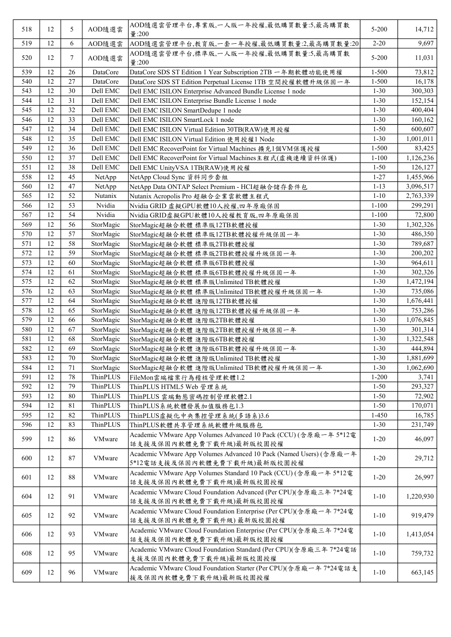| 518 | 12 | 5      | AOD隨選雲    | AOD隨選雲管理平台,專業版,一人版一年授權,最低購買數量:5,最高購買數<br>$\frac{1}{2}$ :200                                       | $5 - 200$ | 14,712    |
|-----|----|--------|-----------|---------------------------------------------------------------------------------------------------|-----------|-----------|
| 519 | 12 | 6      | AOD隨選雲    | AOD隨選雲管理平台,教育版,一套一年授權,最低購買數量:2,最高購買數量:20                                                          | $2 - 20$  | 9,697     |
| 520 | 12 | 7      | AOD隨選雲    | AOD隨選雲管理平台,標準版,一人版一年授權,最低購買數量:5,最高購買數<br>量:200                                                    | $5 - 200$ | 11,031    |
| 539 | 12 | 26     | DataCore  | DataCore SDS ST Edition 1 Year Subscription 2TB 一年期軟體功能使用權                                        | $1 - 500$ | 73,812    |
| 540 | 12 | 27     | DataCore  | DataCore SDS ST Edition Perpetual License 1TB 空間授權軟體升級保固一年                                        | $1 - 500$ | 16,178    |
| 543 | 12 | 30     | Dell EMC  | Dell EMC ISILON Enterprise Advanced Bundle License 1 node                                         | $1 - 30$  | 300,303   |
| 544 | 12 | 31     | Dell EMC  | Dell EMC ISILON Enterprise Bundle License 1 node                                                  | $1 - 30$  | 152,154   |
| 545 | 12 | 32     | Dell EMC  | Dell EMC ISILON SmartDedupe 1 node                                                                | $1 - 30$  | 400,404   |
| 546 | 12 | 33     | Dell EMC  | Dell EMC ISILON SmartLock 1 node                                                                  | $1 - 30$  | 160,162   |
| 547 | 12 | 34     | Dell EMC  | Dell EMC ISILON Virtual Edition 30TB(RAW)使用授權                                                     | $1 - 50$  | 600,607   |
| 548 | 12 | 35     | Dell EMC  | Dell EMC ISILON Virtual Edition 使用授權1 Node                                                        | $1 - 30$  | 1,001,011 |
| 549 | 12 | 36     | Dell EMC  | Dell EMC RecoverPoint for Virtual Machines 擴充1個VM保護授權                                             | $1 - 500$ | 83,425    |
| 550 | 12 | 37     | Dell EMC  | Dell EMC RecoverPoint for Virtual Machines主程式(虚機連續資料保護)                                           | $1 - 100$ | 1,126,236 |
| 551 | 12 | 38     | Dell EMC  | Dell EMC UnityVSA 1TB(RAW)使用授權                                                                    | $1 - 50$  | 126,127   |
| 558 | 12 | 45     | NetApp    | NetApp Cloud Sync 資料同步套組                                                                          | $1 - 27$  | 1,455,966 |
| 560 | 12 | 47     | NetApp    | NetApp Data ONTAP Select Premium - HCI超融合儲存套件包                                                    | $1 - 13$  | 3,096,517 |
| 565 | 12 | 52     | Nutanix   | Nutanix Acropolis Pro 超融合企業雲軟體主程式                                                                 | $1 - 10$  | 2,763,339 |
| 566 | 12 | 53     | Nvidia    | Nvidia GRID 虚擬GPU軟體10人授權,四年原廠保固                                                                   | $1 - 100$ | 299,291   |
| 567 | 12 | 54     | Nvidia    | Nvidia GRID虚擬GPU軟體10人授權教育版,四年原廠保固                                                                 | $1 - 100$ | 72,800    |
| 569 | 12 | 56     | StorMagic | StorMagic超融合軟體標準版12TB軟體授權                                                                         | $1 - 30$  | 1,302,326 |
| 570 | 12 | 57     | StorMagic | StorMagic超融合軟體標準版12TB軟體授權升級保固一年                                                                   | $1 - 30$  | 486,350   |
| 571 | 12 | 58     | StorMagic | StorMagic超融合軟體標準版2TB軟體授權                                                                          | $1 - 30$  | 789,687   |
| 572 | 12 | 59     | StorMagic | StorMagic超融合軟體 標準版2TB軟體授權升級保固一年                                                                   | $1 - 30$  | 200,202   |
| 573 | 12 | 60     | StorMagic | StorMagic超融合軟體 標準版6TB軟體授權                                                                         | $1 - 30$  | 964,611   |
| 574 | 12 | 61     | StorMagic | StorMagic超融合軟體 標準版6TB軟體授權升級保固一年                                                                   | $1 - 30$  | 302,326   |
| 575 | 12 | 62     | StorMagic | StorMagic超融合軟體 標準版Unlimited TB軟體授權                                                                | $1 - 30$  | 1,472,194 |
| 576 | 12 | 63     | StorMagic | StorMagic超融合軟體 標準版Unlimited TB軟體授權升級保固一年                                                          | $1 - 30$  | 735,086   |
| 577 | 12 | 64     | StorMagic | StorMagic超融合軟體 進階版12TB軟體授權                                                                        | $1-30$    | 1,676,441 |
| 578 | 12 | 65     | StorMagic | StorMagic超融合軟體 進階版12TB軟體授權升級保固一年                                                                  | $1 - 30$  | 753,286   |
| 579 | 12 | 66     | StorMagic | StorMagic超融合軟體 進階版2TB軟體授權                                                                         | $1 - 30$  | 1,076,845 |
| 580 | 12 | 67     | StorMagic | StorMagic超融合軟體 進階版2TB軟體授權升級保固一年                                                                   | $1 - 30$  | 301,314   |
| 581 | 12 | 68     | StorMagic | StorMagic超融合軟體 進階版6TB軟體授權                                                                         | $1 - 30$  | 1,322,548 |
| 582 | 12 | 69     | StorMagic | StorMagic超融合軟體 進階版6TB軟體授權升級保固一年                                                                   | $1 - 30$  | 444,894   |
| 583 | 12 | $70\,$ | StorMagic | StorMagic超融合軟體 進階版Unlimited TB軟體授權                                                                | $1 - 30$  | 1,881,699 |
| 584 | 12 | 71     | StorMagic | StorMagic超融合軟體 進階版Unlimited TB軟體授權升級保固一年                                                          | $1 - 30$  | 1,062,690 |
| 591 | 12 | 78     | ThinPLUS  | FileMon雲端檔案行為稽核管理軟體1.2                                                                            | $1 - 200$ | 3,741     |
| 592 | 12 | 79     | ThinPLUS  | ThinPLUS HTML5 Web 管理系統                                                                           | $1 - 50$  | 293,327   |
| 593 | 12 | 80     | ThinPLUS  | ThinPLUS 雲端動態密碼控制管理軟體2.1                                                                          | $1 - 50$  | 72,902    |
| 594 | 12 | 81     | ThinPLUS  | ThinPLUS系統軟體發展加值服務包1.3                                                                            | $1 - 50$  | 170,071   |
| 595 | 12 | 82     | ThinPLUS  | ThinPLUS虛擬化中央集控管理系統(多語系)3.6                                                                       | $1 - 450$ | 16,785    |
| 596 | 12 | 83     | ThinPLUS  | ThinPLUS軟體共享管理系統軟體升級服務包                                                                           | $1 - 30$  | 231,749   |
| 599 | 12 | 86     | VMware    | Academic VMware App Volumes Advanced 10 Pack (CCU) (含原廠一年 5*12電<br>話支援及保固內軟體免費下載升級)最新版校園授權        | $1 - 20$  | 46,097    |
| 600 | 12 | 87     | VMware    | Academic VMware App Volumes Advanced 10 Pack (Named Users) (含原廠一年<br>5*12電話支援及保固內軟體免費下載升級)最新版校園授權 | $1 - 20$  | 29,712    |
| 601 | 12 | 88     | VMware    | Academic VMware App Volumes Standard 10 Pack (CCU) (含原廠一年 5*12電<br>話支援及保固內軟體免費下載升級)最新版校園授權        | $1 - 20$  | 26,997    |
| 604 | 12 | 91     | VMware    | Academic VMware Cloud Foundation Advanced (Per CPU)(含原廠三年 7*24電<br>話支援及保固內軟體免費下載升級)最新版校園授權        | $1 - 10$  | 1,220,930 |
| 605 | 12 | 92     | VMware    | Academic VMware Cloud Foundation Enterprise (Per CPU)(含原廠一年 7*24電<br>話支援及保固內軟體免費下載升級)最新版校園授權      | $1 - 10$  | 919,479   |
| 606 | 12 | 93     | VMware    | Academic VMware Cloud Foundation Enterprise (Per CPU)(含原廠三年 7*24電<br>話支援及保固內軟體免費下載升級)最新版校園授權      | $1 - 10$  | 1,413,054 |
| 608 | 12 | 95     | VMware    | Academic VMware Cloud Foundation Standard (Per CPU)(含原廠三年 7*24電話<br>支援及保固內軟體免費下載升級)最新版校園授權        | $1 - 10$  | 759,732   |
| 609 | 12 | 96     | VMware    | Academic VMware Cloud Foundation Starter (Per CPU)(含原廠一年 7*24電話支<br>援及保固內軟體免費下載升級)最新版校園授權         | $1 - 10$  | 663,145   |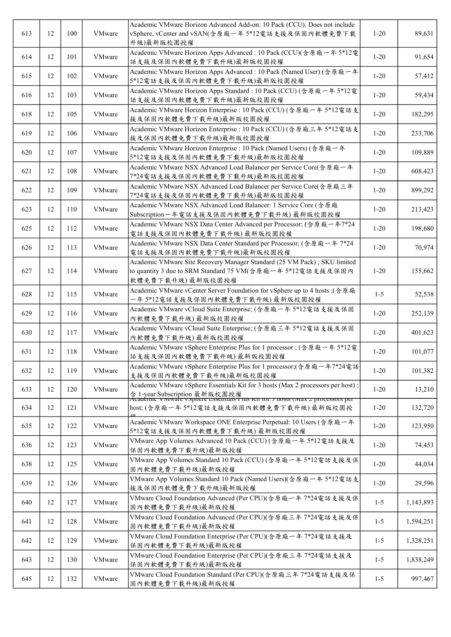| 613 | 12 | 100 | VMware | Academic VMware Horizon Advanced Add-on: 10 Pack (CCU). Does not include<br>vSphere, vCenter and vSAN(含原廠一年 5*12電話支援及保固內軟體免費下載<br>升級)最新版校園授權                                                              | $1-20$   | 89,631    |
|-----|----|-----|--------|-----------------------------------------------------------------------------------------------------------------------------------------------------------------------------------------------------------|----------|-----------|
| 614 | 12 | 101 | VMware | Academic VMware Horizon Apps Advanced : 10 Pack (CCU)(含原廠一年 5*12電<br>話支援及保固內軟體免費下載升級)最新版校園授權                                                                                                              | $1 - 20$ | 91,654    |
| 615 | 12 | 102 | VMware | Academic VMware Horizon Apps Advanced : 10 Pack (Named User) (含原廠一年<br>5*12電話支援及保固內軟體免費下載升級)最新版校園授權                                                                                                       | $1 - 20$ | 57,412    |
| 616 | 12 | 103 | VMware | Academic VMware Horizon Apps Standard: 10 Pack (CCU) (含原廠一年 5*12電<br>話支援及保固內軟體免費下載升級)最新版校園授權                                                                                                              | $1 - 20$ | 59,434    |
| 618 | 12 | 105 | VMware | Academic VMware Horizon Enterprise : 10 Pack (CCU) (含原廠一年 5*12電話支<br>援及保固內軟體免費下載升級)最新版校園授權                                                                                                                | $1 - 20$ | 182,295   |
| 619 | 12 | 106 | VMware | Academic VMware Horizon Enterprise : 10 Pack (CCU) (含原廠三年 5*12電話支<br>援及保固內軟體免費下載升級)最新版校園授權                                                                                                                | $1 - 20$ | 233,706   |
| 620 | 12 | 107 | VMware | Academic VMware Horizon Enterprise : 10 Pack (Named Users) (含原廠一年<br>5*12電話支援及保固內軟體免費下載升級)最新版校園授權                                                                                                         | $1 - 20$ | 109,889   |
| 621 | 12 | 108 | VMware | Academic VMware NSX Advanced Load Balancer per Service Core(含原廠一年<br>7*24電話支援及保固內軟體免費下載升級)最新版校園授權                                                                                                         | $1 - 20$ | 608,423   |
| 622 | 12 | 109 | VMware | Academic VMware NSX Advanced Load Balancer per Service Core(含原廠三年<br>7*24電話支援及保固內軟體免費下載升級)最新版校園授權                                                                                                         | $1-20$   | 899,292   |
| 623 | 12 | 110 | VMware | Academic VMware NSX Advanced Load Balancer: 1 Service Core (含原廠<br>Subscription一年電話支援及保固內軟體免費下載升級)最新版校園授權                                                                                                 | $1-20$   | 213,423   |
| 625 | 12 | 112 | VMware | Academic VMware NSX Data Center Advanced per Processor; (含原廠一年7*24<br>電話支援及保固內軟體免費下載升級)最新版校園授權                                                                                                            | $1-20$   | 198,680   |
| 626 | 12 | 113 | VMware | Academic VMware NSX Data Center Standard per Processor; (含原廠一年 7*24<br>電話支援及保固內軟體免費下載升級)最新版校園授權                                                                                                           | $1-20$   | 70,974    |
| 627 | 12 | 114 | VMware | Academic VMware Site Recovery Manager Standard (25 VM Pack); SKU limited<br>to quantity 3 due to SRM Standard 75 VM(含原廠一年 5*12電話支援及保固內<br>軟體免費下載升級)最新版校園授權                                                | $1 - 20$ | 155,662   |
| 628 | 12 | 115 | VMware | Academic VMware vCenter Server Foundation for vSphere up to 4 hosts ;(含原廠<br>一年5*12電話支援及保固內軟體免費下載升級)最新版校園授權                                                                                               | $1 - 5$  | 52,538    |
| 629 | 12 | 116 | VMware | Academic VMware vCloud Suite Enterprise; (含原廠一年 5*12電話支援及保固<br>內軟體免費下載升級)最新版校園授權                                                                                                                          | $1 - 20$ | 252,139   |
| 630 | 12 | 117 | VMware | Academic VMware vCloud Suite Enterprise; (含原廠三年 5*12電話支援及保固<br>內軟體免費下載升級)最新版校園授權                                                                                                                          | $1 - 20$ | 401,623   |
| 631 | 12 | 118 | VMware | Academic VMware vSphere Enterprise Plus for 1 processor; (含原廠一年 5*12電<br>話支援及保固內軟體免費下載升級)最新版校園授權                                                                                                          | $1 - 20$ | 101,077   |
| 632 | 12 | 119 | VMware | Academic VMware vSphere Enterprise Plus for 1 processor;(含原廠一年7*24電話<br>支援及保固內軟體免費下載升級)最新版校園授權                                                                                                            | $1 - 20$ | 101,382   |
| 633 | 12 | 120 | VMware | Academic VMware vSphere Essentials Kit for 3 hosts (Max 2 processors per host) ;<br>含 1-year Subscription 最新版校園授權<br>Academic viviware vispitere Essentiais r ius Kit ior 5 nosts (iviax 2 processors per | $1 - 20$ | 13,210    |
| 634 | 12 | 121 | VMware | host; (含原廠一年5*12電話支援及保固內軟體免費下載升級) 最新版校園授                                                                                                                                                                  | $1 - 20$ | 132,720   |
| 635 | 12 | 122 | VMware | Academic VMware Workspace ONE Enterprise Perpetual: 10 Users (含原廠一年<br>5*12電話支援及保固內軟體免費下載升級)最新版校園授權                                                                                                       | $1 - 20$ | 123,950   |
| 636 | 12 | 123 | VMware | VMware App Volumes Advanced 10 Pack (CCU) (含原廠一年 5*12電話支援及<br>保固內軟體免費下載升級)最新版授權                                                                                                                           | $1-20$   | 74,453    |
| 638 | 12 | 125 | VMware | VMware App Volumes Standard 10 Pack (CCU) (含原廠一年 5*12電話支援及保<br>固内軟體免費下載升級)最新版授權                                                                                                                           | $1 - 20$ | 44,034    |
| 639 | 12 | 126 | VMware | VMware App Volumes Standard 10 Pack (Named Users)(含原廠一年 5*12電話支<br>援及保固內軟體免費下載升級)最新版授權                                                                                                                    | $1-20$   | 29,596    |
| 640 | 12 | 127 | VMware | VMware Cloud Foundation Advanced (Per CPU)(含原廠一年 7*24電話支援及保<br>固内軟體免費下載升級)最新版授權                                                                                                                           | $1 - 5$  | 1,143,893 |
| 641 | 12 | 128 | VMware | VMware Cloud Foundation Advanced (Per CPU)(含原廠三年 7*24電話支援及保<br>固内軟體免費下載升級)最新版授權                                                                                                                           | $1-5$    | 1,594,251 |
| 642 | 12 | 129 | VMware | VMware Cloud Foundation Enterprise (Per CPU)(含原廠一年 7*24電話支援及<br>保固內軟體免費下載升級)最新版授權                                                                                                                         | $1 - 5$  | 1,328,251 |
| 643 | 12 | 130 | VMware | VMware Cloud Foundation Enterprise (Per CPU)(含原廠三年 7*24電話支援及<br>保固內軟體免費下載升級)最新版授權                                                                                                                         | $1-5$    | 1,838,249 |
| 645 | 12 | 132 | VMware | VMware Cloud Foundation Standard (Per CPU)(含原廠三年 7*24電話支援及保<br>固内軟體免費下載升級)最新版授權                                                                                                                           | $1 - 5$  | 997,467   |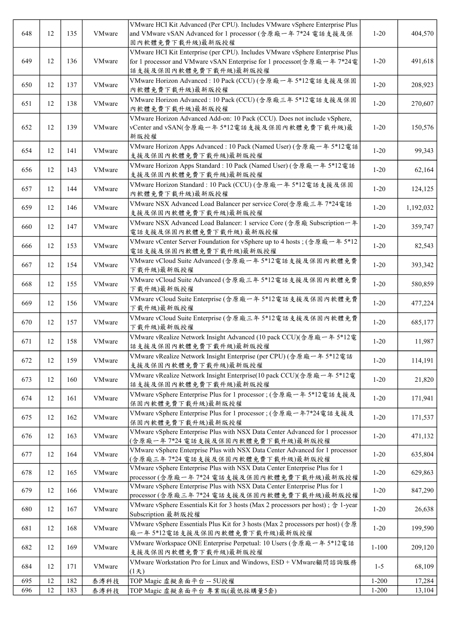| 648 | 12 | 135 | <b>VMware</b> | VMware HCI Kit Advanced (Per CPU). Includes VMware vSphere Enterprise Plus<br>and VMware vSAN Advanced for 1 processor (含原廠一年 7*24 電話支援及保<br>固内軟體免費下載升級)最新版授權                   | $1 - 20$  | 404,570   |
|-----|----|-----|---------------|---------------------------------------------------------------------------------------------------------------------------------------------------------------------------------|-----------|-----------|
| 649 | 12 | 136 | VMware        | VMware HCI Kit Enterprise (per CPU). Includes VMware vSphere Enterprise Plus<br>for 1 processor and VMware vSAN Enterprise for 1 processor(含原廠一年 7*24電<br>話支援及保固內軟體免費下載升級)最新版授權 | $1 - 20$  | 491,618   |
| 650 | 12 | 137 | VMware        | VMware Horizon Advanced : 10 Pack (CCU) (含原廠一年 5*12電話支援及保固<br>內軟體免費下載升級)最新版授權                                                                                                   | $1 - 20$  | 208,923   |
| 651 | 12 | 138 | VMware        | VMware Horizon Advanced : 10 Pack (CCU) (含原廠三年 5*12電話支援及保固<br>內軟體免費下載升級)最新版授權                                                                                                   | $1 - 20$  | 270,607   |
| 652 | 12 | 139 | VMware        | VMware Horizon Advanced Add-on: 10 Pack (CCU). Does not include vSphere,<br>vCenter and vSAN(含原廠一年5*12電話支援及保固內軟體免費下載升級)最<br>新版授權                                                | $1 - 20$  | 150,576   |
| 654 | 12 | 141 | VMware        | VMware Horizon Apps Advanced : 10 Pack (Named User) (含原廠一年 5*12電話<br>支援及保固內軟體免費下載升級)最新版授權                                                                                       | $1 - 20$  | 99,343    |
| 656 | 12 | 143 | VMware        | VMware Horizon Apps Standard : 10 Pack (Named User) (含原廠一年 5*12電話<br>支援及保固內軟體免費下載升級)最新版授權                                                                                       | $1 - 20$  | 62,164    |
| 657 | 12 | 144 | VMware        | VMware Horizon Standard : 10 Pack (CCU) (含原廠一年 5*12電話支援及保固<br>內軟體免費下載升級)最新版授權                                                                                                   | $1 - 20$  | 124,125   |
| 659 | 12 | 146 | VMware        | VMware NSX Advanced Load Balancer per service Core(含原廠三年 7*24電話<br>支援及保固內軟體免費下載升級)最新版授權                                                                                         | $1 - 20$  | 1,192,032 |
| 660 | 12 | 147 | VMware        | VMware NSX Advanced Load Balancer: 1 service Core (含原廠 Subscription一年<br>電話支援及保固內軟體免費下載升級)最新版授權                                                                                 | $1 - 20$  | 359,747   |
| 666 | 12 | 153 | VMware        | VMware vCenter Server Foundation for vSphere up to 4 hosts; (含原廠一年 5*12<br>電話支援及保固內軟體免費下載升級)最新版授權                                                                               | $1 - 20$  | 82,543    |
| 667 | 12 | 154 | VMware        | VMware vCloud Suite Advanced (含原廠一年 5*12電話支援及保固內軟體免費<br>下載升級)最新版授權                                                                                                              | $1 - 20$  | 393,342   |
| 668 | 12 | 155 | VMware        | VMware vCloud Suite Advanced (含原廠三年5*12電話支援及保固內軟體免費<br>下載升級)最新版授權                                                                                                               | $1 - 20$  | 580,859   |
| 669 | 12 | 156 | VMware        | VMware vCloud Suite Enterprise (含原廠一年 5*12電話支援及保固內軟體免費<br>下載升級)最新版授權                                                                                                            | $1 - 20$  | 477,224   |
| 670 | 12 | 157 | VMware        | VMware vCloud Suite Enterprise (含原廠三年 5*12電話支援及保固內軟體免費<br>下載升級)最新版授權                                                                                                            | $1 - 20$  | 685,177   |
| 671 | 12 | 158 | VMware        | VMware vRealize Network Insight Advanced (10 pack CCU)(含原廠一年 5*12電<br>話支援及保固內軟體免費下載升級)最新版授權                                                                                     | $1 - 20$  | 11,987    |
| 672 | 12 | 159 | VMware        | VMware vRealize Network Insight Enterprise (per CPU) (含原廠一年 5*12電話<br>支援及保固內軟體免費下載升級)最新版授權                                                                                      | $1 - 20$  | 114,191   |
| 673 | 12 | 160 | VMware        | VMware vRealize Network Insight Enterprise(10 pack CCU)(含原廠一年 5*12電<br>話支援及保固內軟體免費下載升級)最新版授權                                                                                    | $1 - 20$  | 21,820    |
| 674 | 12 | 161 | VMware        | VMware vSphere Enterprise Plus for 1 processor; (含原廠一年 5*12電話支援及<br>保固內軟體免費下載升級)最新版授權                                                                                           | $1 - 20$  | 171,941   |
| 675 | 12 | 162 | VMware        | VMware vSphere Enterprise Plus for 1 processor; (含原廠一年7*24電話支援及<br>保固內軟體免費下載升級)最新版授權                                                                                            | $1 - 20$  | 171,537   |
| 676 | 12 | 163 | VMware        | VMware vSphere Enterprise Plus with NSX Data Center Advanced for 1 processor<br>(含原廠一年7*24 電話支援及保固內軟體免費下載升級)最新版授權                                                               | $1 - 20$  | 471,132   |
| 677 | 12 | 164 | VMware        | VMware vSphere Enterprise Plus with NSX Data Center Advanced for 1 processor<br>(含原廠三年7*24 電話支援及保固內軟體免費下載升級)最新版授權                                                               | $1 - 20$  | 635,804   |
| 678 | 12 | 165 | VMware        | VMware vSphere Enterprise Plus with NSX Data Center Enterprise Plus for 1<br>processor (含原廠一年 7*24 電話支援及保固內軟體免費下載升級)最新版授權                                                       | $1 - 20$  | 629,863   |
| 679 | 12 | 166 | VMware        | VMware vSphere Enterprise Plus with NSX Data Center Enterprise Plus for 1<br>processor (含原廠三年 7*24 電話支援及保固內軟體免費下載升級)最新版授權                                                       | $1 - 20$  | 847,290   |
| 680 | 12 | 167 | VMware        | VMware vSphere Essentials Kit for 3 hosts (Max 2 processors per host); 含 1-year<br>Subscription 最新版授權                                                                           | $1 - 20$  | 26,638    |
| 681 | 12 | 168 | VMware        | VMware vSphere Essentials Plus Kit for 3 hosts (Max 2 processors per host) (含原<br>廠一年5*12電話支援及保固內軟體免費下載升級)最新版授權                                                                 | $1 - 20$  | 199,590   |
| 682 | 12 | 169 | VMware        | VMware Workspace ONE Enterprise Perpetual: 10 Users (含原廠一年 5*12電話<br>支援及保固內軟體免費下載升級)最新版授權                                                                                       | $1 - 100$ | 209,120   |
| 684 | 12 | 171 | VMware        | VMware Workstation Pro for Linux and Windows, ESD + VMware顧問諮詢服務<br>(1,5)                                                                                                       | $1 - 5$   | 68,109    |
| 695 | 12 | 182 | 泰溥科技          | TOP Magic 虚擬桌面平台 -- 5U授權                                                                                                                                                        | $1 - 200$ | 17,284    |
| 696 | 12 | 183 | 泰溥科技          | TOP Magic 虛擬桌面平台 專業版(最低採購量5套)                                                                                                                                                   | $1 - 200$ | 13,104    |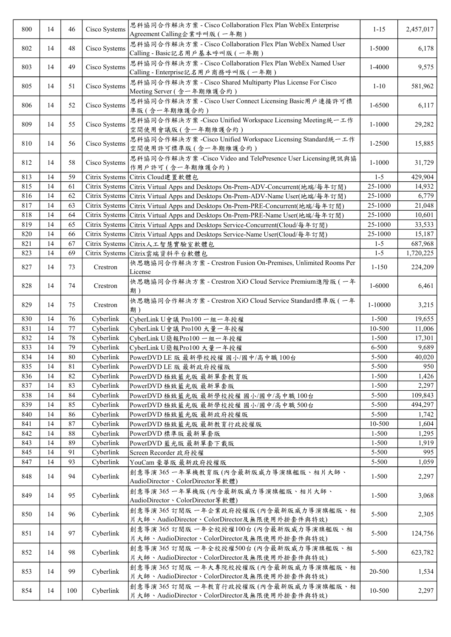| 800 | 14 | 46     | Cisco Systems  | 思科協同合作解決方案 - Cisco Collaboration Flex Plan WebEx Enterprise<br>Agreement Calling企業呼叫版 (一年期)        | $1 - 15$   | 2,457,017 |
|-----|----|--------|----------------|----------------------------------------------------------------------------------------------------|------------|-----------|
| 802 | 14 | 48     | Cisco Systems  | 思科協同合作解決方案 - Cisco Collaboration Flex Plan WebEx Named User<br>Calling - Basic記名用戶基本呼叫版 (一年期)      | 1-5000     | 6,178     |
| 803 | 14 | 49     | Cisco Systems  | 思科協同合作解決方案 - Cisco Collaboration Flex Plan WebEx Named User<br>Calling - Enterprise記名用戶商務呼叫版 (一年期) | 1-4000     | 9,575     |
| 805 | 14 | 51     | Cisco Systems  | 思科協同合作解決方案 - Cisco Shared Multiparty Plus License For Cisco<br>Meeting Server (含一年期維護合約)           | $1 - 10$   | 581,962   |
| 806 | 14 | 52     | Cisco Systems  | 思科協同合作解決方案 - Cisco User Connect Licensing Basic用戶連接許可標<br>準版(含一年期維護合約)                             | 1-6500     | 6,117     |
| 809 | 14 | 55     | Cisco Systems  | 思科協同合作解決方案 -Cisco Unified Workspace Licensing Meeting統一工作<br>空間使用會議版(含一年期維護合約)                     | $1 - 1000$ | 29,282    |
| 810 | 14 | 56     | Cisco Systems  | 思科協同合作解決方案 -Cisco Unified Workspace Licensing Standard統一工作<br>空間使用許可標準版 (含一年期維護合約)                 | 1-2500     | 15,885    |
| 812 | 14 | 58     | Cisco Systems  | 思科協同合作解決方案 -Cisco Video and TelePresence User Licensing視訊與協<br>作用戶許可 (含一年期維護合約)                    | $1 - 1000$ | 31,729    |
| 813 | 14 | 59     | Citrix Systems | Citrix Cloud建置軟體包                                                                                  | $1 - 5$    | 429,904   |
| 815 | 14 | 61     | Citrix Systems | Citrix Virtual Apps and Desktops On-Prem-ADV-Concurrent(地端/每年訂閱)                                   | 25-1000    | 14,932    |
| 816 | 14 | 62     | Citrix Systems |                                                                                                    | 25-1000    | 6,779     |
|     | 14 |        |                | Citrix Virtual Apps and Desktops On-Prem-ADV-Name User(地端/每年訂閲)                                    |            |           |
| 817 |    | 63     | Citrix Systems | Citrix Virtual Apps and Desktops On-Prem-PRE-Concurrent(地端/每年訂閲)                                   | 25-1000    | 21,048    |
| 818 | 14 | 64     | Citrix Systems | Citrix Virtual Apps and Desktops On-Prem-PRE-Name User(地端/每年訂閱)                                    | 25-1000    | 10,601    |
| 819 | 14 | 65     | Citrix Systems | Citrix Virtual Apps and Desktops Service-Concurrent(Cloud/每年訂閲)                                    | 25-1000    | 33,533    |
| 820 | 14 | 66     | Citrix Systems | Citrix Virtual Apps and Desktops Service-Name User(Cloud/每年訂閱)                                     | 25-1000    | 15,187    |
| 821 | 14 | 67     | Citrix Systems | Citrix人工智慧實驗室軟體包                                                                                   | $1 - 5$    | 687,968   |
| 823 | 14 | 69     | Citrix Systems | Citrix雲端資料平台軟體包                                                                                    | $1 - 5$    | 1,720,225 |
| 827 | 14 | 73     | Crestron       | 快思聰協同合作解決方案 - Crestron Fusion On-Premises, Unlimited Rooms Per<br>License                          | $1 - 150$  | 224,209   |
| 828 | 14 | 74     | Crestron       | 快思聰協同合作解決方案 - Crestron XiO Cloud Service Premium進階版 (一年<br>期)                                      | 1-6000     | 6,461     |
| 829 | 14 | 75     | Crestron       | 快思聰協同合作解決方案 - Crestron XiO Cloud Service Standard標準版 (一年<br>期)                                     | 1-10000    | 3,215     |
| 830 | 14 | 76     | Cyberlink      | CyberLink U會議 Pro100 一組一年授權                                                                        | $1 - 500$  | 19,655    |
| 831 | 14 | 77     | Cyberlink      | CyberLink U會議 Pro100 大量一年授權                                                                        | 10-500     | 11,006    |
| 832 | 14 | 78     | Cyberlink      | CyberLink U簡報Pro100 一組一年授權                                                                         | $1 - 500$  | 17,301    |
| 833 | 14 | 79     | Cyberlink      | CyberLink U簡報Pro100 大量一年授權                                                                         | 6-500      | 9,689     |
| 834 | 14 | $80\,$ | Cyberlink      | PowerDVD LE 版 最新學校授權 國小/國中/高中職 100台                                                                | 5-500      | 40,020    |
| 835 | 14 | 81     | Cyberlink      | PowerDVD LE 版 最新政府授權版                                                                              | 5-500      | 950       |
| 836 | 14 | 82     | Cyberlink      | PowerDVD 極致藍光版 最新單套教育版                                                                             | $1 - 500$  | 1,426     |
| 837 | 14 | 83     | Cyberlink      | PowerDVD 極致藍光版 最新單套版                                                                               | $1 - 500$  | 2,297     |
|     | 14 |        |                |                                                                                                    |            |           |
| 838 |    | 84     | Cyberlink      | PowerDVD 極致藍光版 最新學校授權 國小/國中/高中職 100台                                                               | 5-500      | 109,843   |
| 839 | 14 | 85     | Cyberlink      | PowerDVD 極致藍光版 最新學校授權 國小/國中/高中職 500台                                                               | 5-500      | 494,297   |
| 840 | 14 | 86     | Cyberlink      | PowerDVD 極致藍光版 最新政府授權版                                                                             | 5-500      | 1,742     |
| 841 | 14 | 87     | Cyberlink      | PowerDVD 極致藍光版 最新教育行政授權版                                                                           | 10-500     | 1,604     |
| 842 | 14 | 88     | Cyberlink      | PowerDVD 標準版 最新單套版                                                                                 | $1 - 500$  | 1,295     |
| 843 | 14 | 89     | Cyberlink      | PowerDVD 藍光版 最新單套下載版                                                                               | $1 - 500$  | 1,919     |
| 845 | 14 | 91     | Cyberlink      | Screen Recorder 政府授權                                                                               | 5-500      | 995       |
| 847 | 14 | 93     | Cyberlink      | YouCam 豪華版 最新政府授權版                                                                                 | 5-500      | 1,059     |
| 848 | 14 | 94     | Cyberlink      | 創意導演365 一年單機教育版(內含最新版威力導演旗艦版、相片大師、<br>AudioDirector、ColorDirector 等軟體)                             | $1 - 500$  | 2,297     |
| 849 | 14 | 95     | Cyberlink      | 創意導演365一年單機版(內含最新版威力導演旗艦版、相片大師、<br>AudioDirector、ColorDirector 等軟體)                                | $1 - 500$  | 3,068     |
| 850 | 14 | 96     | Cyberlink      | 創意導演365 訂閱版 一年企業政府授權版(內含最新版威力導演旗艦版、相<br>片大師、AudioDirector、ColorDirector及無限使用外掛套件與特效)               | 5-500      | 2,305     |
| 851 | 14 | 97     | Cyberlink      | 創意導演365 訂閱版 一年全校授權100台(內含最新版威力導演旗艦版、相<br>片大師、AudioDirector、ColorDirector及無限使用外掛套件與特效)              | 5-500      | 124,756   |
| 852 | 14 | 98     | Cyberlink      | 創意導演365 訂閱版 一年全校授權500台(內含最新版威力導演旗艦版、相<br>片大師、AudioDirector、ColorDirector及無限使用外掛套件與特效)              | 5-500      | 623,782   |
| 853 | 14 | 99     | Cyberlink      | 創意導演365 訂閱版 一年大專院校授權版(內含最新版威力導演旗艦版、相<br>片大師、AudioDirector、ColorDirector及無限使用外掛套件與特效)               | 20-500     | 1,534     |
| 854 | 14 | 100    | Cyberlink      | 創意導演365 訂閱版 一年教育行政授權版(內含最新版威力導演旗艦版、相<br>片大師、AudioDirector、ColorDirector及無限使用外掛套件與特效)               | 10-500     | 2,297     |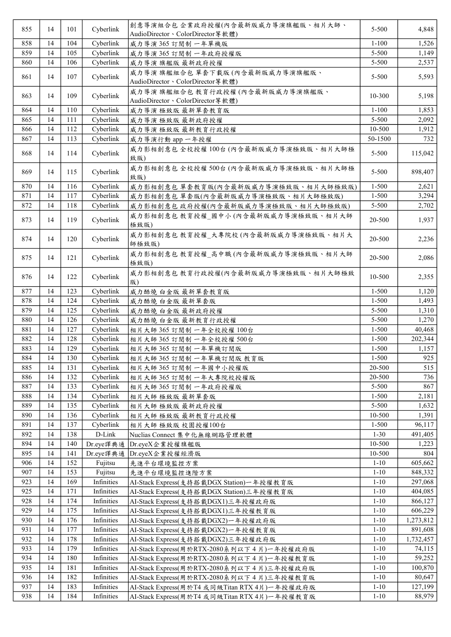| 855 | 14 | 101 | Cyberlink  | 創意導演組合包企業政府授權(內含最新版威力導演旗艦版、相片大師、                                    | 5-500     | 4,848     |
|-----|----|-----|------------|---------------------------------------------------------------------|-----------|-----------|
|     |    |     |            | AudioDirector、ColorDirector 等軟體)                                    |           |           |
| 858 | 14 | 104 | Cyberlink  | 威力導演365 訂閱制 一年單機版                                                   | $1 - 100$ | 1,526     |
| 859 | 14 | 105 | Cyberlink  | 威力導演365 訂閱制 一年政府授權版                                                 | 5-500     | 1,149     |
| 860 | 14 | 106 | Cyberlink  | 威力導演 旗艦版 最新政府授權                                                     | 5-500     | 2,537     |
| 861 | 14 | 107 | Cyberlink  | 威力導演 旗艦組合包 單套下載版(內含最新版威力導演旗艦版、<br>AudioDirector、ColorDirector 等軟體)  | 5-500     | 5,593     |
| 863 | 14 | 109 | Cyberlink  | 威力導演 旗艦組合包 教育行政授權(內含最新版威力導演旗艦版、<br>AudioDirector、ColorDirector 等軟體) | 10-300    | 5,198     |
| 864 | 14 | 110 | Cyberlink  | 威力導演 極致版 最新單套教育版                                                    | $1 - 100$ | 1,853     |
| 865 | 14 | 111 | Cyberlink  | 威力導演 極致版 最新政府授權                                                     | 5-500     | 2,092     |
| 866 | 14 | 112 | Cyberlink  | 威力導演 極致版 最新教育行政授權                                                   | 10-500    | 1,912     |
| 867 | 14 | 113 | Cyberlink  | 威力導演行動 app 一年授權                                                     | 50-1500   | 732       |
| 868 | 14 | 114 | Cyberlink  | 威力影相創意包全校授權100台(內含最新版威力導演極致版、相片大師極<br>致版)                           | 5-500     | 115,042   |
| 869 | 14 | 115 | Cyberlink  | 威力影相創意包全校授權500台(內含最新版威力導演極致版、相片大師極<br>致版)                           | 5-500     | 898,407   |
| 870 | 14 | 116 | Cyberlink  | 威力影相創意包 單套教育版(內含最新版威力導演極致版、相片大師極致版)                                 | $1 - 500$ | 2,621     |
| 871 | 14 | 117 | Cyberlink  | 威力影相創意包 單套版(內含最新版威力導演極致版、相片大師極致版)                                   | $1 - 500$ | 3,294     |
| 872 | 14 | 118 | Cyberlink  |                                                                     | 5-500     | 2,702     |
|     |    |     |            | 威力影相創意包 政府授權(內含最新版威力導演極致版、相片大師極致版)                                  |           |           |
| 873 | 14 | 119 | Cyberlink  | 威力影相創意包 教育授權_國中小(內含最新版威力導演極致版、相片大師<br>極致版)                          | 20-500    | 1,937     |
| 874 | 14 | 120 | Cyberlink  | 威力影相創意包 教育授權 大專院校(內含最新版威力導演極致版、相片大<br>師極致版)                         | 20-500    | 2,236     |
| 875 | 14 | 121 | Cyberlink  | 威力影相創意包 教育授權_高中職(內含最新版威力導演極致版、相片大師<br>極致版)                          | 20-500    | 2,086     |
| 876 | 14 | 122 | Cyberlink  | 威力影相創意包 教育行政授權(內含最新版威力導演極致版、相片大師極致<br>版)                            | 10-500    | 2,355     |
| 877 | 14 | 123 | Cyberlink  | 威力酷燒 白金版 最新單套教育版                                                    | $1 - 500$ | 1,120     |
| 878 | 14 | 124 | Cyberlink  | 威力酷燒 白金版 最新單套版                                                      | $1 - 500$ | 1,493     |
| 879 | 14 | 125 | Cyberlink  | 威力酷燒 白金版 最新政府授權                                                     | 5-500     | 1,310     |
| 880 | 14 | 126 | Cyberlink  | 威力酷燒 白金版 最新教育行政授權                                                   | 5-500     | 1,270     |
| 881 | 14 | 127 | Cyberlink  | 相片大師 365 訂閱制 一年全校授權 100台                                            | $1 - 500$ | 40,468    |
| 882 | 14 | 128 | Cyberlink  | 相片大師 365 訂閱制 一年全校授權 500台                                            | $1 - 500$ | 202,344   |
|     |    |     |            |                                                                     |           |           |
| 883 | 14 | 129 | Cyberlink  | 相片大師 365 訂閱制 一年單機訂閱版                                                | $1 - 500$ | 1,157     |
| 884 | 14 | 130 | Cyberlink  | 相片大師 365 訂閱制 一年單機訂閱版 教育版                                            | 1-500     | 925       |
| 885 | 14 | 131 | Cyberlink  | 相片大師 365 訂閱制 一年國中小授權版                                               | 20-500    | 515       |
| 886 | 14 | 132 | Cyberlink  | 相片大師365 訂閱制 一年大專院校授權版                                               | 20-500    | 736       |
| 887 | 14 | 133 | Cyberlink  | 相片大師 365 訂閱制 一年政府授權版                                                | $5 - 500$ | 867       |
| 888 | 14 | 134 | Cyberlink  | 相片大師 極致版 最新單套版                                                      | $1 - 500$ | 2,181     |
| 889 | 14 | 135 | Cyberlink  | 相片大師 極致版 最新政府授權                                                     | 5-500     | 1,632     |
| 890 | 14 | 136 | Cyberlink  | 相片大師 極致版 最新教育行政授權                                                   | 10-500    | 1,391     |
| 891 | 14 | 137 | Cyberlink  | 相片大師 極致版 校園授權100台                                                   | $1 - 500$ | 96,117    |
| 892 | 14 | 138 | D-Link     | Nuclias Connect 集中化無線網路管理軟體                                         | $1 - 30$  | 491,405   |
| 894 | 14 | 140 | Dr.eye譯典通  | Dr.eyeX企業授權旗艦版                                                      | 10-500    | 1,223     |
| 895 | 14 | 141 | Dr.eye譯典通  | Dr.eyeX企業授權經濟版                                                      | 10-500    | 804       |
| 906 | 14 | 152 | Fujitsu    | 先進平台環境監控方案                                                          | $1 - 10$  | 605,662   |
| 907 | 14 | 153 | Fujitsu    | 先進平台環境監控進階方案                                                        | $1 - 10$  | 848,332   |
| 923 | 14 | 169 | Infinities | AI-Stack Express(支持搭載DGX Station)一年授權教育版                            | $1 - 10$  | 297,068   |
| 925 | 14 | 171 | Infinities |                                                                     |           |           |
|     |    |     |            | AI-Stack Express(支持搭載DGX Station)三年授權教育版                            | $1 - 10$  | 404,085   |
| 928 | 14 | 174 | Infinities | AI-Stack Express(支持搭載DGX1)三年授權政府版                                   | $1 - 10$  | 866,127   |
| 929 | 14 | 175 | Infinities | AI-Stack Express(支持搭載DGX1)三年授權教育版                                   | $1 - 10$  | 606,229   |
| 930 | 14 | 176 | Infinities | AI-Stack Express(支持搭載DGX2)一年授權政府版                                   | $1 - 10$  | 1,273,812 |
| 931 | 14 | 177 | Infinities | AI-Stack Express(支持搭載DGX2)一年授權教育版                                   | $1 - 10$  | 891,608   |
| 932 | 14 | 178 | Infinities | AI-Stack Express(支持搭載DGX2)三年授權政府版                                   | $1 - 10$  | 1,732,457 |
| 933 | 14 | 179 | Infinities | AI-Stack Express(用於RTX-2080系列以下4片)一年授權政府版                           | $1 - 10$  | 74,115    |
| 934 | 14 | 180 | Infinities | AI-Stack Express(用於RTX-2080系列以下4片)一年授權教育版                           | $1 - 10$  | 59,252    |
| 935 | 14 | 181 | Infinities | AI-Stack Express(用於RTX-2080系列以下4片)三年授權政府版                           | $1 - 10$  | 100,870   |
| 936 | 14 | 182 | Infinities | AI-Stack Express(用於RTX-2080系列以下4片)三年授權教育版                           | $1 - 10$  | 80,647    |
| 937 | 14 | 183 | Infinities | AI-Stack Express(用於T4 或同級Titan RTX 4片)一年授權政府版                       | $1 - 10$  | 127,199   |
| 938 | 14 | 184 | Infinities | AI-Stack Express(用於T4 或同級Titan RTX 4片)一年授權教育版                       | $1 - 10$  | 88,979    |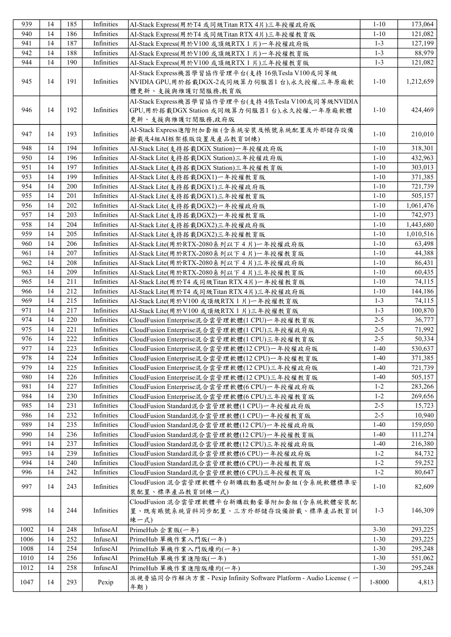| 939        | 14       | 185        | Infinities               | AI-Stack Express(用於T4 或同級Titan RTX 4片)三年授權政府版                                                                          | $1 - 10$           | 173,064          |
|------------|----------|------------|--------------------------|------------------------------------------------------------------------------------------------------------------------|--------------------|------------------|
| 940        | 14       | 186        | Infinities               | AI-Stack Express(用於T4 或同級Titan RTX 4片)三年授權教育版                                                                          | $1 - 10$           | 121,082          |
| 941        | 14       | 187        | Infinities               | AI-Stack Express(用於V100 或頂級RTX 1 片)一年授權政府版                                                                             | $1-3$              | 127,199          |
| 942        | 14       | 188        | Infinities               | AI-Stack Express(用於V100 或頂級RTX 1 片)一年授權教育版                                                                             | $1 - 3$            | 88,979           |
| 944        | 14       | 190        | Infinities               | AI-Stack Express(用於V100 或頂級RTX 1 片)三年授權教育版                                                                             | $1 - 3$            | 121,082          |
| 945        | 14       | 191        | Infinities               | AI-Stack Express機器學習協作管理平台(支持 16張Tesla V100或同等級<br>NVIDIA GPU,用於搭載DGX-2或同級算力伺服器1台),永久授權,三年原廠軟<br>體更新、支援與維護訂閱服務,教育版     | $1 - 10$           | 1,212,659        |
| 946        | 14       | 192        | Infinities               | AI-Stack Express機器學習協作管理平台(支持4張Tesla V100或同等級NVIDIA<br>GPU,用於搭載DGX Station 或同級算力伺服器1台),永久授權,一年原廠軟體<br>更新、支援與維護訂閱服務,政府版 | $1 - 10$           | 424,469          |
| 947        | 14       | 193        | Infinities               | AI-Stack Express進階附加套組 (含系統安裝及帳號系統配置及外部儲存設備<br>掛載及4組AI框架樣版設置及產品教育訓練)                                                   | $1 - 10$           | 210,010          |
| 948        | 14       | 194        | Infinities               | AI-Stack Lite(支持搭載DGX Station)一年授權政府版                                                                                  | $1 - 10$           | 318,301          |
| 950        | 14       | 196        | Infinities               | AI-Stack Lite(支持搭載DGX Station)三年授權政府版                                                                                  | $1 - 10$           | 432,963          |
| 951        | 14       | 197        | Infinities               | AI-Stack Lite(支持搭載DGX Station)三年授權教育版                                                                                  | $1 - 10$           | 303,013          |
| 953        | 14       | 199        | Infinities               | AI-Stack Lite(支持搭載DGX1)一年授權教育版                                                                                         | $1 - 10$           | 371,385          |
| 954        | 14       | 200        | Infinities               | AI-Stack Lite(支持搭載DGX1)三年授權政府版                                                                                         | $1 - 10$           | 721,739          |
| 955        | 14       | 201        | Infinities               | AI-Stack Lite(支持搭載DGX1)三年授權教育版                                                                                         | $1 - 10$           | 505,157          |
| 956        | 14       | 202        | Infinities               | AI-Stack Lite(支持搭載DGX2)一年授權政府版                                                                                         | $1 - 10$           | 1,061,476        |
| 957        | 14       | 203        | Infinities               | AI-Stack Lite(支持搭載DGX2)一年授權教育版                                                                                         | $1 - 10$           | 742,973          |
| 958        | 14       | 204        | Infinities               | AI-Stack Lite(支持搭載DGX2)三年授權政府版                                                                                         | $1 - 10$           | 1,443,680        |
| 959        | 14       | 205        | Infinities               | AI-Stack Lite(支持搭載DGX2)三年授權教育版                                                                                         | $1 - 10$           | 1,010,516        |
| 960        | 14       | 206        | Infinities               | AI-Stack Lite(用於RTX-2080系列以下4片)一年授權政府版                                                                                 | $1 - 10$           | 63,498           |
| 961        | 14       | 207        | Infinities               | AI-Stack Lite(用於RTX-2080系列以下4片)一年授權教育版                                                                                 | $1 - 10$           | 44,388           |
| 962        | 14       | 208        | Infinities               | AI-Stack Lite(用於RTX-2080系列以下4片)三年授權政府版                                                                                 | $1 - 10$           | 86,431           |
| 963        | 14       | 209        | Infinities               | AI-Stack Lite(用於RTX-2080系列以下4片)三年授權教育版                                                                                 | $1 - 10$           | 60,435           |
| 965        | 14       | 211        | Infinities               | AI-Stack Lite(用於T4 或同級Titan RTX 4片)一年授權教育版                                                                             | $1 - 10$           | 74,115           |
| 966        | 14       | 212        | Infinities               |                                                                                                                        | $1 - 10$           | 144,186          |
| 969        | 14       | 215        | Infinities               | AI-Stack Lite(用於T4 或同級Titan RTX 4片)三年授權政府版                                                                             | $1 - 3$            | 74,115           |
| 971        | 14       | 217        | Infinities               | AI-Stack Lite(用於V100 或頂級RTX 1 片)一年授權教育版                                                                                | $1-3$              | 100,870          |
| 974        | 14       |            | Infinities               | AI-Stack Lite(用於V100 或頂級RTX 1 片)三年授權教育版                                                                                | $2 - 5$            |                  |
|            |          | 220        |                          | CloudFusion Enterprise混合雲管理軟體(1 CPU)一年授權教育版                                                                            |                    | 36,777           |
| 975<br>976 | 14<br>14 | 221<br>222 | Infinities<br>Infinities | CloudFusion Enterprise混合雲管理軟體(1 CPU)三年授權政府版                                                                            | $2 - 5$<br>$2 - 5$ | 71,992<br>50,334 |
| 977        |          |            |                          | CloudFusion Enterprise混合雲管理軟體(1 CPU)三年授權教育版                                                                            |                    |                  |
|            | 14       | 223        | Infinities               | CloudFusion Enterprise混合雲管理軟體(12 CPU)一年授權政府版                                                                           | $1-40$             | 530,637          |
| 978        | 14       | 224        | Infinities               | CloudFusion Enterprise混合雲管理軟體(12 CPU)一年授權教育版                                                                           | $1 - 40$           | 371,385          |
| 979        | 14       | 225        | Infinities               | CloudFusion Enterprise混合雲管理軟體(12 CPU)三年授權政府版                                                                           | $1-40$             | 721,739          |
| 980        | 14       | 226        | Infinities               | CloudFusion Enterprise混合雲管理軟體(12 CPU)三年授權教育版                                                                           | $1-40$             | 505,157          |
| 981        | 14       | 227        | Infinities               | CloudFusion Enterprise混合雲管理軟體(6 CPU)一年授權政府版                                                                            | $1 - 2$            | 283,266          |
| 984        | 14       | 230        | Infinities               | CloudFusion Enterprise混合雲管理軟體(6 CPU)三年授權教育版                                                                            | $1 - 2$            | 269,656          |
| 985        | 14       | 231        | Infinities               | CloudFusion Standard混合雲管理軟體(1 CPU)一年授權政府版                                                                              | $2 - 5$            | 15,723           |
| 986        | 14       | 232        | Infinities               | CloudFusion Standard混合雲管理軟體(1 CPU)一年授權教育版                                                                              | $2 - 5$            | 10,940           |
| 989        | 14       | 235        | Infinities               | CloudFusion Standard混合雲管理軟體(12 CPU)一年授權政府版                                                                             | $1-40$             | 159,050          |
| 990        | 14       | 236        | Infinities               | CloudFusion Standard混合雲管理軟體(12 CPU)一年授權教育版                                                                             | $1-40$             | 111,274          |
| 991        | 14       | 237        | Infinities               | CloudFusion Standard混合雲管理軟體(12 CPU)三年授權政府版                                                                             | $1-40$             | 216,380          |
| 993        | 14       | 239        | Infinities               | CloudFusion Standard混合雲管理軟體(6 CPU)一年授權政府版                                                                              | $1 - 2$            | 84,732           |
| 994        | 14       | 240        | Infinities               | CloudFusion Standard混合雲管理軟體(6 CPU)一年授權教育版                                                                              | $1 - 2$            | 59,252           |
| 996        | 14       | 242        | Infinities               | CloudFusion Standard混合雲管理軟體(6 CPU)三年授權教育版                                                                              | $1 - 2$            | 80,647           |
| 997        | 14       | 243        | Infinities               | CloudFusion 混合雲管理軟體平台新購啟動基礎附加套組(含系統軟體標準安<br>裝配置、標準產品教育訓練一式)                                                            | $1 - 10$           | 82,609           |
| 998        | 14       | 244        | Infinities               | CloudFusion 混合雲管理軟體平台新購啟動豪華附加套組 (含系統軟體安裝配<br>置、既有賬號系統資料同步配置、三方外部儲存設備掛載、標準產品教育訓<br>練一式)                                 | $1 - 3$            | 146,309          |
| 1002       | 14       | 248        | InfuseAI                 | PrimeHub 企業版(一年)                                                                                                       | $3 - 30$           | 293,225          |
| 1006       | 14       | 252        | InfuseAI                 | PrimeHub 單機作業入門版(一年)                                                                                                   | $1 - 30$           | 293,225          |
| 1008       | 14       | 254        | InfuseAI                 | PrimeHub 單機作業入門版續約(一年)                                                                                                 | $1 - 30$           | 295,248          |
| 1010       | 14       | 256        | InfuseAI                 | PrimeHub 單機作業進階版(一年)                                                                                                   | $1 - 30$           | 551,062          |
| 1012       | 14       | 258        | InfuseAI                 | PrimeHub 單機作業進階版續約(一年)                                                                                                 | $1 - 30$           | 295,248          |
| 1047       | 14       | 293        | Pexip                    | 派視普協同合作解決方案 - Pexip Infinity Software Platform - Audio License (一<br>年期)                                               | 1-8000             | 4,813            |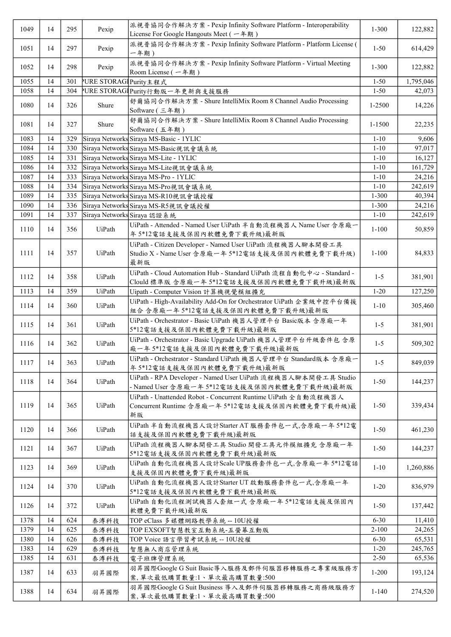| 1049 | 14 | 295 | Pexip                  | 派視普協同合作解決方案 - Pexip Infinity Software Platform - Interoperability<br>License For Google Hangouts Meet (一年期)             | $1 - 300$ | 122,882   |
|------|----|-----|------------------------|-------------------------------------------------------------------------------------------------------------------------|-----------|-----------|
| 1051 | 14 | 297 | Pexip                  | 派視普協同合作解決方案 - Pexip Infinity Software Platform - Platform License (<br>一年期)                                             | $1 - 50$  | 614,429   |
| 1052 | 14 | 298 | Pexip                  | 派視普協同合作解決方案 - Pexip Infinity Software Platform - Virtual Meeting<br>Room License $(-4, 4)$                              | $1 - 300$ | 122,882   |
| 1055 | 14 | 301 | VURE STORAGI Purity主程式 |                                                                                                                         | $1 - 50$  | 1,795,046 |
| 1058 | 14 | 304 |                        | URE STORAGI Purity行動版一年更新與支援服務                                                                                          | $1 - 50$  | 42,073    |
| 1080 | 14 | 326 | Shure                  | 舒爾協同合作解決方案 - Shure IntelliMix Room 8 Channel Audio Processing<br>Software (三年期)                                         | 1-2500    | 14,226    |
| 1081 | 14 | 327 | Shure                  | 舒爾協同合作解決方案 - Shure IntelliMix Room 8 Channel Audio Processing<br>Software (五年期)                                         | 1-1500    | 22,235    |
| 1083 | 14 | 329 |                        | Siraya Networks Siraya MS-Basic - 1YLIC                                                                                 | $1 - 10$  | 9,606     |
| 1084 | 14 | 330 |                        | Siraya Networks Siraya MS-Basic視訊會議系統                                                                                   | $1 - 10$  | 97,017    |
| 1085 | 14 | 331 |                        | Siraya Networks Siraya MS-Lite - 1YLIC                                                                                  | $1 - 10$  | 16,127    |
| 1086 | 14 | 332 |                        | Siraya Networks Siraya MS-Lite視訊會議系統                                                                                    | $1 - 10$  | 161,729   |
| 1087 | 14 | 333 |                        | Siraya Networks Siraya MS-Pro - 1YLIC                                                                                   | $1 - 10$  | 24,216    |
|      | 14 |     |                        |                                                                                                                         |           |           |
| 1088 |    | 334 |                        | Siraya Networks Siraya MS-Pro視訊會議系統                                                                                     | $1 - 10$  | 242,619   |
| 1089 | 14 | 335 |                        | Siraya Networks Siraya MS-R10視訊會議授權                                                                                     | $1 - 300$ | 40,394    |
| 1090 | 14 | 336 |                        | Siraya Networks Siraya MS-R5視訊會議授權                                                                                      | $1 - 300$ | 24,216    |
| 1091 | 14 | 337 |                        | Siraya Networks Siraya 認證系統                                                                                             | $1 - 10$  | 242,619   |
| 1110 | 14 | 356 | UiPath                 | UiPath - Attended - Named User UiPath 半自動流程機器人 Name User 含原廠一                                                           | $1 - 100$ | 50,859    |
|      |    |     |                        | 年5*12電話支援及保固內軟體免費下載升級)最新版                                                                                               |           |           |
| 1111 | 14 | 357 | UiPath                 | UiPath - Citizen Developer - Named User UiPath 流程機器人腳本開發工具<br>Studio X - Name User 含原廠一年 5*12電話支援及保固內軟體免費下載升級)<br>最新版   | $1 - 100$ | 84,833    |
| 1112 | 14 | 358 | UiPath                 | UiPath - Cloud Automation Hub - Standard UiPath 流程自動化中心 - Standard -<br>Clould 標準版 含原廠一年 5*12電話支援及保固內軟體免費下載升級)最新版       | $1 - 5$   | 381,901   |
| 1113 | 14 | 359 | UiPath                 | Uipath - Computer Vision 計算機視覺模組擴充                                                                                      | $1 - 20$  | 127,250   |
|      |    |     |                        | UiPath - High-Availability Add-On for Orchestrator UiPath 企業級中控平台備援                                                     |           |           |
| 1114 | 14 | 360 | UiPath                 | 組合含原廠一年5*12電話支援及保固內軟體免費下載升級)最新版                                                                                         | $1 - 10$  | 305,460   |
| 1115 | 14 | 361 | UiPath                 | UiPath - Orchestrator - Basic UiPath 機器人管理平台 Basic版本 含原廠一年<br>5*12電話支援及保固內軟體免費下載升級)最新版                                  | $1 - 5$   | 381,901   |
| 1116 | 14 | 362 | UiPath                 | UiPath - Orchestrator - Basic Upgrade UiPath 機器人管理平台升級套件包 含原<br>廠一年5*12電話支援及保固內軟體免費下載升級)最新版                             | $1 - 5$   | 509,302   |
| 1117 | 14 | 363 | UiPath                 | UiPath - Orchestrator - Standard UiPath 機器人管理平台 Standard版本含原廠-<br>年5*12電話支援及保固內軟體免費下載升級)最新版                             | $1 - 5$   | 849,039   |
| 1118 | 14 | 364 | UiPath                 | UiPath - RPA Developer - Named User UiPath 流程機器人腳本開發工具 Studio<br>- Named User 含原廠一年 5*12電話支援及保固內軟體免費下載升級)最新版            | $1 - 50$  | 144,237   |
| 1119 | 14 | 365 | UiPath                 | UiPath - Unattended Robot - Concurrent Runtime UiPath 全自動流程機器人<br>Concurrent Runtime 含原廠一年 5*12電話支援及保固內軟體免費下載升級)最<br>新版 | $1 - 50$  | 339,434   |
| 1120 | 14 | 366 | UiPath                 | UiPath 半自動流程機器人設計Starter AT 服務套件包一式,含原廠一年 5*12電<br>話支援及保固內軟體免費下載升級)最新版                                                  | $1 - 50$  | 461,230   |
| 1121 | 14 | 367 | UiPath                 | UiPath 流程機器人腳本開發工具 Studio 開發工具元件模組擴充 含原廠一年<br>5*12電話支援及保固內軟體免費下載升級)最新版                                                  | $1 - 50$  | 144,237   |
| 1123 | 14 | 369 | UiPath                 | UiPath 自動化流程機器人設計Scale UP服務套件包一式,含原廠一年5*12電話<br>支援及保固內軟體免費下載升級)最新版                                                      | $1 - 10$  | 1,260,886 |
| 1124 | 14 | 370 | UiPath                 | UiPath 自動化流程機器人設計Starter UT 啟動服務套件包一式,含原廠一年<br>5*12電話支援及保固內軟體免費下載升級)最新版                                                 | $1 - 20$  | 836,979   |
| 1126 | 14 | 372 | UiPath                 | UiPath 自動化流程測試機器人套組一式 含原廠一年 5*12電話支援及保固內<br>軟體免費下載升級)最新版                                                                | $1-50$    | 137,442   |
| 1378 | 14 | 624 | 泰溥科技                   | TOP eClass 多媒體網路教學系統 -- 10U授權                                                                                           | $6 - 30$  | 11,410    |
| 1379 | 14 | 625 | 泰溥科技                   | TOP EXSOFT智慧教室互動系統-五螢幕互動版                                                                                               | $2 - 100$ | 24,265    |
| 1380 | 14 | 626 |                        | TOP Voice 語言學習考試系統 -- 10U授權                                                                                             | $6 - 30$  | 65,531    |
| 1383 | 14 | 629 | 泰溥科技                   |                                                                                                                         | $1 - 20$  | 245,765   |
|      |    |     | 泰溥科技                   | 智慧無人商店管理系統                                                                                                              |           |           |
| 1385 | 14 | 631 | 泰溥科技                   | 電子班牌管理系統                                                                                                                | $2 - 50$  | 65,536    |
| 1387 | 14 | 633 | 羽昇國際                   | 羽昇國際Google G Suit Basic導入服務及郵件伺服器移轉服務之專業級服務方<br>案, 單次最低購買數量:1、單次最高購買數量:500                                              | $1 - 200$ | 193,124   |
| 1388 | 14 | 634 | 羽昇國際                   | 羽昇國際Google G Suit Business 導入及郵件伺服器移轉服務之商務級服務方<br>案,單次最低購買數量:1、單次最高購買數量:500                                             | $1 - 140$ | 274,520   |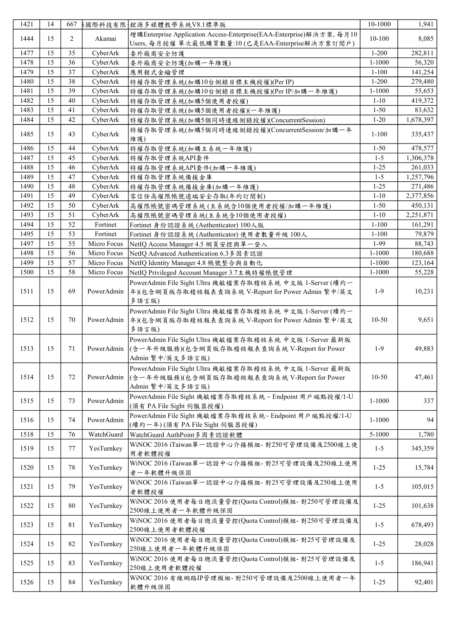| 1421 | 14 | 667 |             | 東國際科技有限  鐵源多媒體教學系統V8.1標準版                                                                                                   | 10-1000    | 1,941     |
|------|----|-----|-------------|-----------------------------------------------------------------------------------------------------------------------------|------------|-----------|
| 1444 | 15 | 2   | Akamai      | 增購Enterprise Application Access-Enterprise(EAA-Enterprise)解決方案, 每月10<br>Users, 每月授權 單次最低購買數量:10 (已是EAA-Enterprise解決方案訂閱戶)   | 10-100     | 8,085     |
| 1477 | 15 | 35  | CyberArk    | 委外廠商安全防護                                                                                                                    | $1 - 200$  | 282,811   |
| 1478 | 15 | 36  | CyberArk    | 委外廠商安全防護(加購一年維護)                                                                                                            | $1 - 1000$ | 56,320    |
| 1479 | 15 | 37  | CyberArk    | 應用程式金鑰管理                                                                                                                    | $1 - 100$  | 141,254   |
| 1480 | 15 | 38  | CyberArk    | 特權存取管理系統(加購10台側錄目標主機授權)(Per IP)                                                                                             | $1 - 200$  | 279,480   |
| 1481 | 15 | 39  | CyberArk    | 特權存取管理系統(加購10台側錄目標主機授權)(Per IP/加購一年維護)                                                                                      | $1 - 1000$ | 55,653    |
| 1482 | 15 | 40  | CyberArk    | 特權存取管理系統(加購5個使用者授權)                                                                                                         | $1 - 10$   | 419,372   |
| 1483 | 15 | 41  | CyberArk    | 特權存取管理系統(加購5個使用者授權)(一年維護)                                                                                                   | $1 - 50$   | 83,632    |
| 1484 | 15 | 42  | CyberArk    | 特權存取管理系統(加購5個同時連線側錄授權)(ConcurrentSession)                                                                                   | $1 - 20$   | 1,678,397 |
| 1485 | 15 | 43  | CyberArk    | 特權存取管理系統(加購5個同時連線側錄授權)(ConcurrentSession/加購一年                                                                               | $1 - 100$  | 335,437   |
| 1486 | 15 | 44  | CyberArk    | 維護)<br>特權存取管理系統(加購主系統一年維護)                                                                                                  | $1 - 50$   | 478,577   |
| 1487 | 15 | 45  | CyberArk    | 特權存取管理系統API套件                                                                                                               | $1 - 5$    | 1,306,378 |
| 1488 | 15 | 46  | CyberArk    | 特權存取管理系統API套件(加購一年維護)                                                                                                       | $1 - 25$   | 261,033   |
| 1489 | 15 | 47  | CyberArk    | 特權存取管理系統備援金庫                                                                                                                | $1 - 5$    | 1,257,796 |
| 1490 | 15 | 48  | CyberArk    | 特權存取管理系統備援金庫(加購一年維護)                                                                                                        | $1 - 25$   | 271,486   |
| 1491 | 15 | 49  | CyberArk    | 零信任高權限帳號遠端安全存取(年約訂閱制)                                                                                                       | $1 - 10$   | 2,377,856 |
|      |    |     |             |                                                                                                                             |            |           |
| 1492 | 15 | 50  | CyberArk    | 高權限帳號密碼管理系統(主系統含10個使用者授權/加購一年維護)                                                                                            | $1 - 50$   | 450,131   |
| 1493 | 15 | 51  | CyberArk    | 高權限帳號密碼管理系統(主系統含10個使用者授權)                                                                                                   | $1 - 10$   | 2,251,871 |
| 1494 | 15 | 52  | Fortinet    | Fortinet 身份認證系統 (Authenticator) 100人版                                                                                       | $1 - 100$  | 161,291   |
| 1495 | 15 | 53  | Fortinet    | Fortinet 身份認證系統 (Authenticator) 使用者數量升級 100人                                                                                | $1 - 100$  | 79,879    |
| 1497 | 15 | 55  | Micro Focus | NetIQ Access Manager 4.5 網頁安控與單一登入                                                                                          | 1-99       | 88,743    |
| 1498 | 15 | 56  | Micro Focus | NetIQ Advanced Authentication 6.3 多因素認證                                                                                     | $1 - 1000$ | 180,688   |
| 1499 | 15 | 57  | Micro Focus | NetIQ Identity Manager 4.8 帳號整合與自動化                                                                                         | $1 - 1000$ | 123,164   |
| 1500 | 15 | 58  | Micro Focus | NetIQ Privileged Account Manager 3.7主機特權帳號管理                                                                                | $1 - 1000$ | 55,228    |
| 1511 | 15 | 69  | PowerAdmin  | PowerAdmin File Sight Ultra 機敏檔案存取稽核系統 中文版 1-Server (續約一<br>年)(包含網頁版存取稽核報表查詢系統 V-Report for Power Admin 繁中/英文<br>多語言版)      | $1-9$      | 10,231    |
| 1512 | 15 | 70  | PowerAdmin  | PowerAdmin File Sight Ultra 機敏檔案存取稽核系統 中文版 1-Server (續約一<br>年)(包含網頁版存取稽核報表查詢系統 V-Report for Power Admin 繁中/英文<br>多語言版)      | $10-50$    | 9,651     |
| 1513 | 15 | 71  | PowerAdmin  | PowerAdmin File Sight Ultra 機敏檔案存取稽核系統 中文版 1-Server 最新版<br>(含一年升級服務)(包含網頁版存取稽核報表查詢系統 V-Report for Power<br>Admin 繁中/英文多語言版) | $1-9$      | 49,883    |
| 1514 | 15 | 72  | PowerAdmin  | PowerAdmin File Sight Ultra 機敏檔案存取稽核系統 中文版 1-Server 最新版<br>(含一年升級服務)(包含網頁版存取稽核報表查詢系統 V-Report for Power<br>Admin 繁中/英文多語言版) | $10 - 50$  | 47,461    |
| 1515 | 15 | 73  | PowerAdmin  | PowerAdmin File Sight 機敏檔案存取稽核系統~Endpoint 用戶端點授權/1-U<br>(須有 PA File Sight 伺服器授權)                                            | 1-1000     | 337       |
| 1516 | 15 | 74  | PowerAdmin  | PowerAdmin File Sight 機敏檔案存取稽核系統~ Endpoint 用戶端點授權/1-U<br>(續約一年)(須有 PA File Sight 伺服器授權)                                     | $1 - 1000$ | 94        |
| 1518 | 15 | 76  | WatchGuard  | WatchGuard AuthPoint多因素認證軟體                                                                                                 | 5-1000     | 1,780     |
| 1519 | 15 | 77  | YesTurnkey  | WiNOC 2016 iTaiwan單一認證中心介接模組-對250可管理設備及2500線上使<br>用者軟體授權                                                                    | $1 - 5$    | 345,359   |
| 1520 | 15 | 78  | YesTurnkey  | WiNOC 2016 iTaiwan單一認證中心介接模組-對25可管理設備及250線上使用<br>者一年軟體升級保固                                                                  | $1-25$     | 15,784    |
| 1521 | 15 | 79  | YesTurnkey  | WiNOC 2016 iTaiwan單一認證中心介接模組-對25可管理設備及250線上使用<br>者軟體授權                                                                      | $1 - 5$    | 105,015   |
| 1522 | 15 | 80  | YesTurnkey  | WiNOC 2016 使用者每日總流量管控(Quota Control)模組-對250可管理設備及<br>2500線上使用者一年軟體升級保固                                                      | $1-25$     | 101,638   |
| 1523 | 15 | 81  | YesTurnkey  | WiNOC 2016 使用者每日總流量管控(Quota Control)模組- 對250可管理設備及<br>2500線上使用者軟體授權                                                         | $1 - 5$    | 678,493   |
| 1524 | 15 | 82  | YesTurnkey  | WiNOC 2016 使用者每日總流量管控(Quota Control)模組-對25可管理設備及<br>250線上使用者一年軟體升級保固                                                        | $1 - 25$   | 28,028    |
| 1525 | 15 | 83  | YesTurnkey  | WiNOC 2016 使用者每日總流量管控(Quota Control)模組- 對25可管理設備及<br>250線上使用者軟體授權                                                           | $1 - 5$    | 186,941   |
| 1526 | 15 | 84  | YesTurnkey  | WiNOC 2016 有線網路IP管理模組- 對250可管理設備及2500線上使用者一年<br>軟體升級保固                                                                      | $1 - 25$   | 92,401    |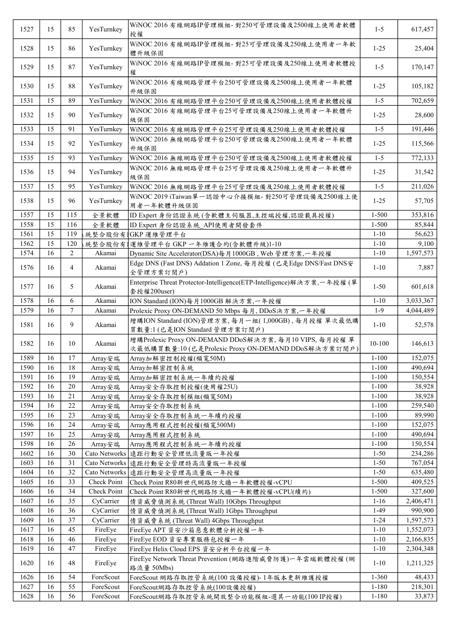| 1527 | 15 | 85  | YesTurnkey    | WiNOC 2016 有線網路IP管理模組- 對250可管理設備及2500線上使用者軟體<br>授權                                                           | $1 - 5$   | 617,457   |
|------|----|-----|---------------|--------------------------------------------------------------------------------------------------------------|-----------|-----------|
| 1528 | 15 | 86  | YesTurnkey    | WiNOC 2016 有線網路IP管理模組- 對25可管理設備及250線上使用者一年軟<br>體升級保固                                                         | $1 - 25$  | 25,404    |
| 1529 | 15 | 87  | YesTurnkey    | WiNOC 2016 有線網路IP管理模組- 對25可管理設備及250線上使用者軟體授<br>權                                                             | $1 - 5$   | 170,147   |
| 1530 | 15 | 88  | YesTurnkey    | WiNOC 2016 有線網路管理平台250可管理設備及2500線上使用者一年軟體<br>升級保固                                                            | $1 - 25$  | 105,182   |
| 1531 | 15 | 89  | YesTurnkey    | WiNOC 2016 有線網路管理平台250可管理設備及2500線上使用者軟體授權                                                                    | $1 - 5$   | 702,659   |
| 1532 | 15 | 90  | YesTurnkey    | WiNOC 2016 有線網路管理平台25可管理設備及250線上使用者一年軟體升<br>級保固                                                              | $1 - 25$  | 28,600    |
| 1533 | 15 | 91  | YesTurnkey    | WiNOC 2016 有線網路管理平台25可管理設備及250線上使用者軟體授權                                                                      | $1 - 5$   | 191,446   |
| 1534 | 15 | 92  | YesTurnkey    | WiNOC 2016 無線網路管理平台250可管理設備及2500線上使用者一年軟體<br>升級保固                                                            | $1-25$    | 115,566   |
| 1535 | 15 | 93  | YesTurnkey    | WiNOC 2016 無線網路管理平台250可管理設備及2500線上使用者軟體授權                                                                    | $1 - 5$   | 772,133   |
| 1536 | 15 | 94  | YesTurnkey    | WiNOC 2016 無線網路管理平台25可管理設備及250線上使用者一年軟體升<br>級保固                                                              | $1-25$    | 31,542    |
| 1537 | 15 | 95  | YesTurnkey    | WiNOC 2016 無線網路管理平台25可管理設備及250線上使用者軟體授權                                                                      | $1 - 5$   | 211,026   |
| 1538 | 15 | 96  | YesTurnkey    | WiNOC 2019 iTaiwan單一認證中心介接模組- 對250可管理設備及2500線上使<br>用者一年軟體升級保固                                                | $1 - 25$  | 57,705    |
| 1557 | 15 | 115 | 全景軟體          | ID Expert 身份認證系統(含軟體主伺服器,主控端授權,認證載具授權)                                                                       | $1 - 500$ | 353,816   |
| 1558 | 15 | 116 | 全景軟體          | ID Expert 身份認證系統_API使用者開發套件                                                                                  | $1 - 500$ | 85,844    |
| 1561 | 15 | 119 | 統整合股份有        | GKP 運維管理平台                                                                                                   | $1 - 10$  | 56,623    |
| 1562 | 15 | 120 | 統整合股份有        | 運維管理平台 GKP 一年維護合約(含軟體升級)1-10                                                                                 | $1 - 10$  | 9,100     |
| 1574 | 16 | 2   | Akamai        | Dynamic Site Accelerator(DSA)每月1000GB, Web 管理方案,一年授權                                                         | $1 - 10$  | 1,597,573 |
| 1576 | 16 | 4   | Akamai        | Edge DNS (Fast DNS) Addation 1 Zone, 每月授權 (已是Edge DNS/Fast DNS安<br>全管理方案訂閱戶)                                 | $1 - 10$  | 7,887     |
| 1577 | 16 | 5   | Akamai        | Enterprise Threat Protector-Intelligence(ETP-Intelligence)解決方案,一年授權(單<br>套授權200user)                         | $1 - 50$  | 601,618   |
| 1578 | 16 | 6   | Akamai        | ION Standard (ION)每月1000GB 解決方案,一年授權                                                                         | $1 - 10$  | 3,033,367 |
| 1579 | 16 | 7   | Akamai        | Prolexic Proxy ON-DEMAND 50 Mbps 每月, DDoS決方案,一年授權                                                            | $1-9$     | 4,044,489 |
| 1581 | 16 | 9   | Akamai        | 增購ION Standard (ION)管理方案,每月一組(1,000GB),每月授權 單次最低購<br>買數量:1 (已是ION Standard 管理方案訂閱戶)                          | $1 - 10$  | 52,578    |
| 1582 | 16 | 10  | Akamai        | 增購Prolexic Proxy ON-DEMAND DDoS解決方案, 每月10 VIPS, 每月授權單<br>次最低購買數量:10 (已是Prolexic Proxy ON-DEMAND DDoS解決方案訂閲戶) | 10-100    | 146,613   |
| 1589 | 16 | 17  | Array安瑞       | Array加解密控制授權(頻寬50M)                                                                                          | $1 - 100$ | 152,075   |
| 1590 | 16 | 18  | Array安瑞       | Array加解密控制系統                                                                                                 | $1-100$   | 490,694   |
| 1591 | 16 | 19  | Array安瑞       | Array加解密控制系統一年續約授權                                                                                           | $1 - 100$ | 150,554   |
| 1592 | 16 | 20  | Array安瑞       | Array安全存取控制授權(使用權25U)                                                                                        | $1 - 100$ | 38,928    |
| 1593 | 16 | 21  | Array安瑞       | Array安全存取控制模組(頻寬50M)                                                                                         | $1 - 100$ | 38,928    |
| 1594 | 16 | 22  | Array安瑞       | Array安全存取控制系統                                                                                                | $1 - 100$ | 259,540   |
| 1595 | 16 | 23  | Array安瑞       | Array安全存取控制系統一年續約授權                                                                                          | $1 - 100$ | 89,990    |
| 1596 | 16 | 24  | Array安瑞       | Array應用程式控制授權(頻寬500M)                                                                                        | $1 - 100$ | 152,075   |
| 1597 | 16 | 25  | Array安瑞       | Array應用程式控制系統                                                                                                | $1 - 100$ | 490,694   |
| 1598 | 16 | 26  | Array安瑞       | Array應用程式控制系統一年續約授權                                                                                          | $1 - 100$ | 150,554   |
| 1602 | 16 | 30  |               | Cato Networks   遠距行動安全管理低流量版一年授權                                                                             | $1 - 50$  | 234,286   |
| 1603 | 16 | 31  | Cato Networks | 遠距行動安全管理特高流量版一年授權                                                                                            | $1 - 50$  | 767,054   |
| 1604 | 16 | 32  | Cato Networks | 遠距行動安全管理高流量版一年授權                                                                                             | $1 - 50$  | 635,480   |
| 1605 | 16 | 33  | Check Point   | Check Point R80新世代網路防火牆一年軟體授權-vCPU                                                                           | $1 - 500$ | 409,525   |
| 1606 | 16 | 34  | Check Point   | Check Point R80新世代網路防火牆一年軟體授權-vCPU(續約)                                                                       | $1 - 500$ | 327,600   |
| 1607 | 16 | 35  | CyCarrier     | 情資威脅偵測系統 (Threat Wall) 10Gbps Throughput                                                                     | $1 - 16$  | 2,406,471 |
| 1608 | 16 | 36  | CyCarrier     | 情資威脅偵測系統 (Threat Wall) 1Gbps Throughput                                                                      | $1-49$    | 990,900   |
| 1609 | 16 | 37  | CyCarrier     | 情資威脅系統 (Threat Wall) 4Gbps Throughput                                                                        | $1 - 24$  | 1,597,573 |
| 1617 | 16 | 45  | FireEye       | FireEye APT 資安沙箱惡意軟體分析授權一年                                                                                   | $1 - 10$  | 1,552,073 |
| 1618 | 16 | 46  | FireEye       | FireEye EOD 資安專業服務包授權一年                                                                                      | $1 - 10$  | 2,166,835 |
| 1619 | 16 | 47  | FireEye       | FireEye Helix Cloud EPS 資安分析平台授權一年                                                                           | $1 - 10$  | 2,304,348 |
| 1620 | 16 | 48  | FireEye       | FireEye Network Threat Prevention (網路進階威脅防護)一年雲端軟體授權 (網<br>路流量 50Mbs)                                        | $1 - 10$  | 1,211,325 |
| 1626 | 16 | 54  | ForeScout     | ForeScout 網路存取控管系統(100 設備授權)-1年版本更新維護授權                                                                      | 1-360     | 48,433    |
| 1627 | 16 | 55  | ForeScout     | ForeScout網路存取控管系統(100設備授權)                                                                                   | $1 - 180$ | 218,301   |
| 1628 | 16 | 56  | ForeScout     | ForeScout網路存取控管系統開放整合功能模組-選其一功能(100 IP授權)                                                                    | 1-180     | 33,873    |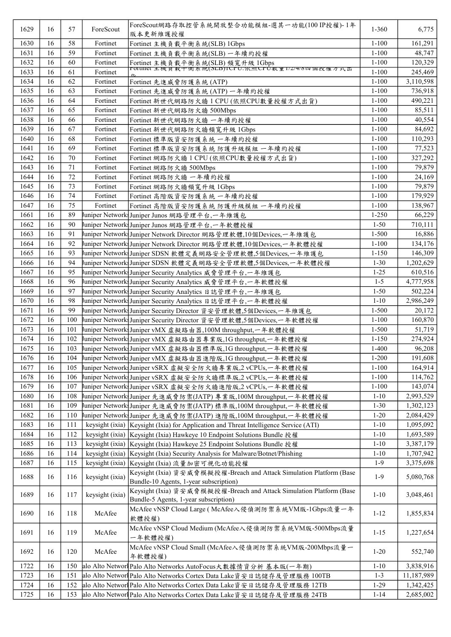| 1629 | 16 | 57  | ForeScout       | ForeScout網路存取控管系統開放整合功能模組-選其一功能(100 IP授權)-1年<br>版本更新維護授權                              | 1-360     | 6,775      |
|------|----|-----|-----------------|---------------------------------------------------------------------------------------|-----------|------------|
| 1630 | 16 | 58  | Fortinet        | Fortinet 主機負載平衡系統(SLB) 1Gbps                                                          | $1 - 100$ | 161,291    |
| 1631 | 16 | 59  | Fortinet        | Fortinet 主機負載平衡系統(SLB) 一年續約授權                                                         | $1 - 100$ | 48,747     |
| 1632 | 16 | 60  | Fortinet        | Fortinet 主機負載平衡系統(SLB)頻寬升級 1Gbps<br>rorunet 土機貝載干偶系統(SLB)ICPU:依照CPU数重1/2/4/8四個投催カ式出   | $1 - 100$ | 120,329    |
| 1633 | 16 | 61  | Fortinet        |                                                                                       | $1 - 100$ | 245,469    |
| 1634 | 16 | 62  | Fortinet        | Fortinet 先進威脅防護系統 (ATP)                                                               | $1 - 100$ | 3,110,598  |
| 1635 | 16 | 63  | Fortinet        | Fortinet 先進威脅防護系統 (ATP) 一年續約授權                                                        | $1 - 100$ | 736,918    |
| 1636 | 16 | 64  | Fortinet        | Fortinet 新世代網路防火牆 1 CPU (依照CPU數量授權方式出貨)                                               | $1 - 100$ | 490,221    |
| 1637 | 16 | 65  | Fortinet        | Fortinet 新世代網路防火牆 500Mbps                                                             | $1 - 100$ | 85,511     |
| 1638 | 16 | 66  | Fortinet        | Fortinet 新世代網路防火牆 一年續約授權                                                              | $1 - 100$ | 40,554     |
| 1639 | 16 | 67  | Fortinet        | Fortinet 新世代網路防火牆頻寬升級 1Gbps                                                           | $1 - 100$ | 84,692     |
| 1640 | 16 | 68  | Fortinet        | Fortinet 標準版資安防護系統 一年續約授權                                                             | $1 - 100$ | 110,293    |
| 1641 | 16 | 69  | Fortinet        | Fortinet 標準版資安防護系統 防護升級模組 一年續約授權                                                      | $1 - 100$ | 77,523     |
| 1642 | 16 | 70  | Fortinet        | Fortinet 網路防火牆 1 CPU (依照CPU數量授權方式出貨)                                                  | $1 - 100$ | 327,292    |
| 1643 | 16 | 71  | Fortinet        | Fortinet 網路防火牆 500Mbps                                                                | $1 - 100$ | 79,879     |
| 1644 | 16 | 72  | Fortinet        | Fortinet 網路防火牆 一年續約授權                                                                 | $1 - 100$ | 24.169     |
| 1645 | 16 | 73  | Fortinet        | Fortinet 網路防火牆頻寬升級 1Gbps                                                              | $1 - 100$ | 79,879     |
| 1646 | 16 | 74  | Fortinet        | Fortinet 高階版資安防護系統 一年續約授權                                                             | $1 - 100$ | 179,929    |
| 1647 | 16 | 75  | Fortinet        |                                                                                       | $1 - 100$ |            |
|      | 16 |     |                 | Fortinet 高階版資安防護系統 防護升級模組 一年續約授權                                                      |           | 138,967    |
| 1661 |    | 89  |                 | uniper Network  Juniper Junos 網路管理平台,一年維護包                                            | $1 - 250$ | 66,229     |
| 1662 | 16 | 90  |                 | 『uniper Network! Juniper Junos 網路管理平台,一年軟體授權                                          | $1-50$    | 710,111    |
| 1663 | 16 | 91  |                 | 『uniper Network』Juniper Network Director 網路管理軟體,10個Devices,一年維護包                      | $1 - 500$ | 16,886     |
| 1664 | 16 | 92  |                 | Juniper Network Juniper Network Director 網路管理軟體,10個Devices,一年軟體授權                     | $1 - 100$ | 134,176    |
| 1665 | 16 | 93  |                 | uniper Network Juniper SDSN 軟體定義網路安全管理軟體,5個Devices,一年維護包                              | $1 - 150$ | 146,309    |
| 1666 | 16 | 94  |                 | Juniper Network Juniper SDSN 軟體定義網路安全管理軟體,5個Devices,一年軟體授權                            | $1 - 30$  | 1,202,629  |
| 1667 | 16 | 95  |                 | Juniper Network Juniper Security Analytics 威脅管理平台,一年維護包                               | $1 - 25$  | 610,516    |
| 1668 | 16 | 96  |                 | Juniper Network Juniper Security Analytics 威脅管理平台,一年軟體授權                              | $1 - 5$   | 4,777,958  |
| 1669 | 16 | 97  |                 | Juniper Network∫Juniper Security Analytics 日誌管理平台,一年維護包                               | $1 - 50$  | 502,224    |
| 1670 | 16 | 98  |                 | Juniper Network Juniper Security Analytics 日誌管理平台,一年軟體授權                              | $1 - 10$  | 2,986,249  |
| 1671 | 16 | 99  |                 | Juniper Network: Juniper Security Director 資安管理軟體,5個Devices,一年維護包                     | 1-500     | 20,172     |
| 1672 | 16 | 100 |                 | Juniper Network Juniper Security Director 資安管理軟體,5個Devices,一年軟體授權                     | $1 - 100$ | 160,870    |
| 1673 | 16 | 101 |                 | 『uniper Network』  Juniper vMX 虛擬路由器,100M throughput,一年軟體授權                            | $1 - 500$ | 51,719     |
| 1674 | 16 | 102 |                 | 『uniper Network』  Juniper vMX 虛擬路由器專業版,1G throughput,一年軟體授權                           | $1 - 150$ | 274,924    |
| 1675 | 16 | 103 |                 | Juniper Network Juniper vMX 虛擬路由器標準版,1G throughput,一年軟體授權                             | $1 - 400$ | 96,208     |
| 1676 | 16 |     |                 | 104 Juniper Network Juniper vMX 虚擬路由器進階版,1G throughput, 一年軟體授權                        | $1 - 200$ | 191,608    |
| 1677 | 16 | 105 |                 | Juniper Network√Juniper vSRX 虛擬安全防火牆專業版,2 vCPUs,一年軟體授權                                | $1 - 100$ | 164,914    |
| 1678 | 16 | 106 |                 | Juniper Network Juniper vSRX 虛擬安全防火牆標準版,2 vCPUs,一年軟體授權                                | $1 - 100$ | 114,762    |
| 1679 | 16 | 107 |                 | Juniper Network Juniper vSRX 虛擬安全防火牆進階版,2 vCPUs,一年軟體授權                                | $1 - 100$ | 143,074    |
| 1680 | 16 | 108 |                 | Juniper Network Juniper 先進威脅防禦(JATP) 專業版,100M throughput,一年軟體授權                       | $1 - 10$  | 2,993,529  |
| 1681 | 16 | 109 |                 | Juniper Network  Juniper 先進威脅防禦(JATP) 標準版,100M throughput,一年軟體授權                      | $1 - 30$  | 1,302,123  |
| 1682 | 16 | 110 |                 | ∤uniper Network∤Juniper 先進威脅防禦(JATP) 進階版,100M throughput,一年軟體授權                       | $1 - 20$  | 2,084,429  |
| 1683 | 16 | 111 |                 | keysight (ixia) Keysight (Ixia) for Application and Threat Intelligence Service (ATI) | $1 - 10$  | 1,095,092  |
| 1684 | 16 | 112 |                 | keysight (ixia) Keysight (Ixia) Hawkeye 10 Endpoint Solutions Bundle 授權               | $1 - 10$  | 1,693,589  |
| 1685 | 16 | 113 | keysight (ixia) | Keysight (Ixia) Hawkeye 25 Endpoint Solutions Bundle 授權                               | $1 - 10$  | 3,387,179  |
| 1686 | 16 | 114 | keysight (ixia) | Keysight (Ixia) Security Analysis for Malware/Botnet/Phishing                         | $1 - 10$  | 1,707,942  |
| 1687 | 16 | 115 |                 | keysight (ixia)   Keysight (Ixia) 流量加密可視化功能授權                                         | $1-9$     | 3,375,698  |
|      |    |     |                 | Keysight (Ixia) 資安威脅模擬授權-Breach and Attack Simulation Platform (Base                  |           |            |
| 1688 | 16 | 116 | keysight (ixia) | Bundle-10 Agents, 1-year subscription)                                                | $1-9$     | 5,080,768  |
|      |    |     |                 | Keysight (Ixia) 資安威脅模擬授權-Breach and Attack Simulation Platform (Base                  |           |            |
| 1689 | 16 | 117 | keysight (ixia) | Bundle-5 Agents, 1-year subscription)                                                 | $1 - 10$  | 3,048,461  |
|      |    |     |                 | McAfee vNSP Cloud Large (McAfee入侵偵測防禦系統VM版-1Gbps流量一年                                  |           |            |
| 1690 | 16 | 118 | McAfee          | 軟體授權)                                                                                 | $1 - 12$  | 1,855,834  |
|      |    |     |                 | McAfee vNSP Cloud Medium (McAfee入侵偵測防禦系統VM版-500Mbps流量                                 |           |            |
| 1691 | 16 | 119 | McAfee          |                                                                                       | $1 - 15$  | 1,227,654  |
|      |    |     |                 | 一年軟體授權)                                                                               |           |            |
| 1692 | 16 | 120 | McAfee          | McAfee vNSP Cloud Small (McAfee入侵偵測防禦系統VM版-200Mbps流量一                                 | $1 - 20$  | 552,740    |
|      |    |     |                 | 年軟體授權)                                                                                |           |            |
| 1722 | 16 | 150 |                 | alo Alto Networl Palo Alto Networks AutoFocus大數據情資分析 基本版(一年期)                         | $1 - 10$  | 3,838,916  |
| 1723 | 16 | 151 |                 | alo Alto Networl Palo Alto Networks Cortex Data Lake資安日誌儲存及管理服務 100TB                 | $1 - 3$   | 11,187,989 |
| 1724 | 16 | 152 |                 | alo Alto Networl Palo Alto Networks Cortex Data Lake資安日誌儲存及管理服務 12TB                  | $1-29$    | 1,342,425  |
| 1725 | 16 | 153 |                 | alo Alto Networl Palo Alto Networks Cortex Data Lake資安日誌儲存及管理服務 24TB                  | $1 - 14$  | 2,685,002  |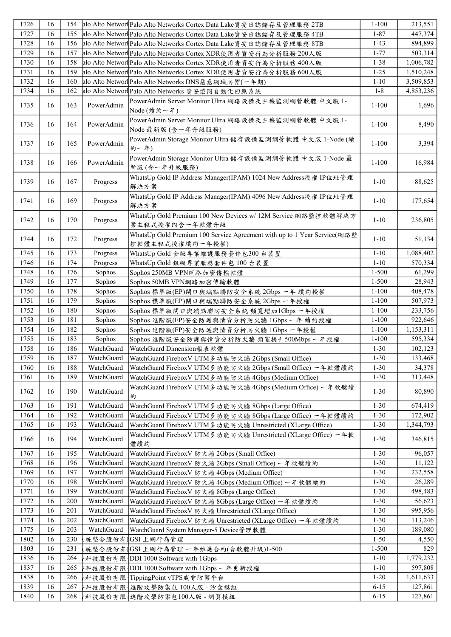| 1726 | 16 | 154 |            | alo Alto Networl Palo Alto Networks Cortex Data Lake資安日誌儲存及管理服務 2TB                         | $1 - 100$ | 213,551   |
|------|----|-----|------------|---------------------------------------------------------------------------------------------|-----------|-----------|
| 1727 | 16 | 155 |            | alo Alto Networl Palo Alto Networks Cortex Data Lake資安日誌儲存及管理服務 4TB                         | $1 - 87$  | 447,374   |
| 1728 | 16 | 156 |            | alo Alto Networl Palo Alto Networks Cortex Data Lake資安日誌儲存及管理服務 8TB                         | $1-43$    | 894,899   |
| 1729 | 16 | 157 |            | alo Alto Networl Palo Alto Networks Cortex XDR使用者資安行為分析服務 200人版                             | $1 - 77$  | 503,314   |
| 1730 | 16 | 158 |            | alo Alto Networl Palo Alto Networks Cortex XDR使用者資安行為分析服務 400人版                             | $1 - 38$  | 1,006,782 |
| 1731 | 16 | 159 |            | alo Alto Networl Palo Alto Networks Cortex XDR使用者資安行為分析服務 600人版                             | $1 - 25$  | 1,510,248 |
| 1732 | 16 | 160 |            | alo Alto Networl Palo Alto Networks DNS 惡意網域防禦(一年期)                                         | $1 - 10$  | 3,509,853 |
| 1734 | 16 | 162 |            | alo Alto Networl Palo Alto Networks 資安協同自動化回應系統                                             | $1 - 8$   | 4,853,236 |
| 1735 | 16 | 163 | PowerAdmin | PowerAdmin Server Monitor Ultra 網路設備及主機監測網管軟體 中文版 1-                                        | $1 - 100$ | 1,696     |
| 1736 | 16 | 164 | PowerAdmin | Node (續約一年)<br>PowerAdmin Server Monitor Ultra 網路設備及主機監測網管軟體 中文版 1-<br>Node 最新版 (含一年升級服務)   | $1 - 100$ | 8,490     |
| 1737 | 16 | 165 | PowerAdmin | PowerAdmin Storage Monitor Ultra 儲存設備監測網管軟體 中文版 1-Node (續<br>約一年)                           | $1 - 100$ | 3,394     |
| 1738 | 16 | 166 | PowerAdmin | PowerAdmin Storage Monitor Ultra 儲存設備監測網管軟體 中文版 1-Node 最<br>新版(含一年升級服務)                     | $1 - 100$ | 16,984    |
| 1739 | 16 | 167 | Progress   | WhatsUp Gold IP Address Manager(IPAM) 1024 New Address授權 IP位址管理<br>解決方案                     | $1 - 10$  | 88,625    |
| 1741 | 16 | 169 | Progress   | WhatsUp Gold IP Address Manager(IPAM) 4096 New Address授權 IP位址管理<br>解決方案                     | $1 - 10$  | 177,654   |
| 1742 | 16 | 170 | Progress   | WhatsUp Gold Premium 100 New Devices w/ 12M Service 網路監控軟體解決方<br>案主程式授權內含一年軟體升級             | $1 - 10$  | 236,805   |
| 1744 | 16 | 172 | Progress   | WhatsUp Gold Premium 100 Service Agreement with up to 1 Year Service(網路監<br>控軟體主程式授權續約一年授權) | $1 - 10$  | 51,134    |
| 1745 | 16 | 173 | Progress   | WhatsUp Gold 金級專業維護服務套件包300 台裝置                                                             | $1 - 10$  | 1,088,402 |
| 1746 | 16 | 174 | Progress   | WhatsUp Gold 銀級專業服務套件包 100 台裝置                                                              | $1 - 10$  | 570,334   |
| 1748 | 16 | 176 | Sophos     | Sophos 250MB VPN網路加密傳輸軟體                                                                    | $1 - 500$ | 61,299    |
| 1749 | 16 | 177 | Sophos     | Sophos 50MB VPN網路加密傳輸軟體                                                                     | $1 - 500$ | 28,943    |
| 1750 | 16 | 178 | Sophos     | Sophos 標準版(EP)閘口與端點聯防安全系統 2Gbps 一年 續約授權                                                     | $1 - 100$ | 408,478   |
| 1751 | 16 | 179 | Sophos     | Sophos 標準版(EP)閘口與端點聯防安全系統 2Gbps 一年授權                                                        | $1 - 100$ | 507,973   |
| 1752 | 16 | 180 | Sophos     | Sophos 標準版閘口與端點聯防安全系統 頻寬增加1Gbps 一年授權                                                        | $1 - 100$ | 233,756   |
| 1753 | 16 | 181 | Sophos     | Sophos 進階版(FP)安全防護與情資分析防火牆 1Gbps 一年 續約授權                                                    | $1 - 100$ | 922,646   |
| 1754 | 16 | 182 | Sophos     | Sophos 進階版(FP)安全防護與情資分析防火牆 1Gbps 一年授權                                                       | $1 - 100$ | 1,153,311 |
| 1755 | 16 | 183 | Sophos     | Sophos 進階版安全防護與情資分析防火牆 頻寬提升500Mbps 一年授權                                                     | $1 - 100$ | 595,334   |
| 1758 | 16 | 186 | WatchGuard | WatchGuard Dimension報表軟體                                                                    | $1 - 30$  | 102,123   |
| 1759 | 16 | 187 | WatchGuard | WatchGuard FireboxV UTM 多功能防火牆 2Gbps (Small Office)                                         | $1 - 30$  | 133,468   |
| 1760 | 16 | 188 | WatchGuard | WatchGuard FireboxV UTM 多功能防火牆 2Gbps (Small Office) 一年軟體續約                                  | $1 - 30$  | 34,378    |
| 1761 | 16 | 189 | WatchGuard | WatchGuard FireboxV UTM 多功能防火牆 4Gbps (Medium Office)                                        | $1 - 30$  | 313,448   |
| 1762 | 16 | 190 | WatchGuard | WatchGuard FireboxV UTM 多功能防火牆 4Gbps (Medium Office) 一年軟體續<br>約                             | $1-30$    | 80,890    |
| 1763 | 16 | 191 | WatchGuard | WatchGuard FireboxV UTM 多功能防火牆 8Gbps (Large Office)                                         | $1-30$    | 674,419   |
| 1764 | 16 | 192 | WatchGuard | WatchGuard FireboxV UTM 多功能防火牆 8Gbps (Large Office) 一年軟體續約                                  | $1-30$    | 172,902   |
| 1765 | 16 | 193 | WatchGuard | WatchGuard FireboxV UTM 多功能防火牆 Unrestricted (XLarge Office)                                 | $1 - 30$  | 1,344,793 |
| 1766 | 16 | 194 | WatchGuard | WatchGuard FireboxV UTM 多功能防火牆 Unrestricted (XLarge Office) 一年軟<br>體續約                      | $1 - 30$  | 346,815   |
| 1767 | 16 | 195 | WatchGuard | WatchGuard FireboxV 防火牆 2Gbps (Small Office)                                                | $1 - 30$  | 96,057    |
| 1768 | 16 | 196 | WatchGuard | WatchGuard FireboxV 防火牆 2Gbps (Small Office) 一年軟體續約                                         | $1 - 30$  | 11,122    |
| 1769 | 16 | 197 | WatchGuard | WatchGuard FireboxV 防火牆 4Gbps (Medium Office)                                               | $1 - 30$  | 232,558   |
| 1770 | 16 | 198 | WatchGuard | WatchGuard FireboxV 防火牆 4Gbps (Medium Office) 一年軟體續約                                        | $1 - 30$  | 26,289    |
| 1771 | 16 | 199 | WatchGuard | WatchGuard FireboxV 防火牆 8Gbps (Large Office)                                                | $1 - 30$  | 498,483   |
| 1772 | 16 | 200 | WatchGuard | WatchGuard FireboxV 防火牆 8Gbps (Large Office) 一年軟體續約                                         | $1 - 30$  | 56,623    |
| 1773 | 16 | 201 | WatchGuard | WatchGuard FireboxV 防火牆 Unrestricted (XLarge Office)                                        | $1 - 30$  | 995,956   |
| 1774 | 16 | 202 | WatchGuard | WatchGuard FireboxV 防火牆 Unrestricted (XLarge Office) 一年軟體續約                                 | $1 - 30$  | 113,246   |
| 1775 | 16 | 203 | WatchGuard | WatchGuard System Manager-5 Device管理軟體                                                      | $1 - 30$  | 189,080   |
| 1802 | 16 | 230 |            | 統整合股份有  GSI上網行為管理                                                                           | $1 - 50$  | 4,550     |
| 1803 | 16 | 231 |            | : 統整合股份有  GSI上網行為管理 一年維護合約(含軟體升級)1-500                                                      | $1 - 500$ | 829       |
| 1836 | 16 | 264 |            | 科技股份有限 DDI 1000 Software with 1Gbps                                                         | $1 - 10$  | 1,779,232 |
| 1837 | 16 | 265 |            | ト科技股份有限 DDI 1000 Software with 1Gbps 一年更新授權                                                 | $1 - 10$  | 597,808   |
| 1838 | 16 | 266 |            | ト科技股份有限  TippingPoint vTPS威脅防禦平台                                                            | $1-20$    | 1,611,633 |
| 1839 | 16 | 267 |            | 科技股份有限 進階攻擊防禦包100人版 - 沙盒模組                                                                  | $6 - 15$  | 127,861   |
| 1840 | 16 | 268 |            | β科技股份有限{進階攻擊防禦包100人版 - 網頁模組                                                                 | $6 - 15$  | 127,861   |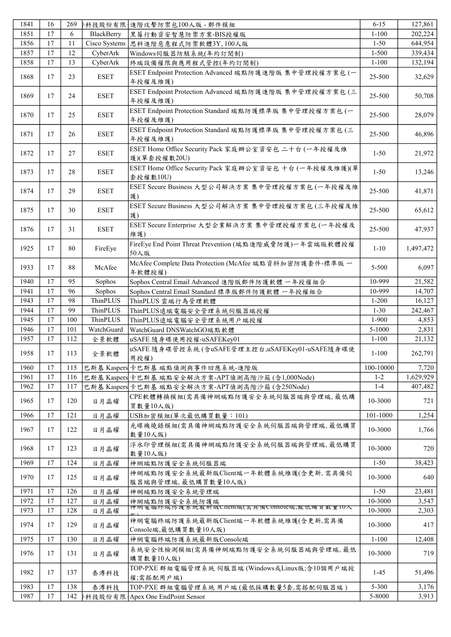| 1841 | 16              | 269 |               | 科技股份有限 進階攻擊防禦包100人版 - 郵件模組                                          | $6 - 15$  | 127,861   |
|------|-----------------|-----|---------------|---------------------------------------------------------------------|-----------|-----------|
| 1851 | 17              | 6   | BlackBerry    | 黑莓行動資安智慧防禦方案-BIS授權版                                                 | $1 - 100$ | 202,224   |
| 1856 | 17              | 11  | Cisco Systems | 思科進階惡意程式防禦軟體3Y,100人版                                                | $1 - 50$  | 644,954   |
| 1857 | 17              | 12  | CyberArk      | Windows伺服器防駭系統(年約訂閱制)                                               | $1 - 500$ | 339,434   |
| 1858 | 17              | 13  | CyberArk      | 終端設備權限與應用程式管控(年約訂閱制)                                                | $1 - 100$ | 132,194   |
| 1868 | 17              | 23  | <b>ESET</b>   | ESET Endpoint Protection Advanced 端點防護進階版 集中管理授權方案包 (一<br>年授權及維護)   | 25-500    | 32,629    |
| 1869 | 17              | 24  | ESET          | ESET Endpoint Protection Advanced 端點防護進階版 集中管理授權方案包 (三<br>年授權及維護)   | 25-500    | 50,708    |
| 1870 | 17              | 25  | <b>ESET</b>   | ESET Endpoint Protection Standard 端點防護標準版 集中管理授權方案包 (一<br>年授權及維護)   | 25-500    | 28,079    |
| 1871 | 17              | 26  | <b>ESET</b>   | ESET Endpoint Protection Standard 端點防護標準版 集中管理授權方案包 (三<br>年授權及維護)   | 25-500    | 46,896    |
| 1872 | 17              | 27  | <b>ESET</b>   | ESET Home Office Security Pack 家庭辦公室資安包 二十台 (一年授權及維<br>護)(單套授權數20U) | $1 - 50$  | 21,972    |
| 1873 | 17              | 28  | <b>ESET</b>   | ESET Home Office Security Pack 家庭辦公室資安包 十台 (一年授權及維護)(單<br>套授權數10U)  | $1 - 50$  | 13,246    |
| 1874 | 17              | 29  | <b>ESET</b>   | ESET Secure Business 大型公司解決方案 集中管理授權方案包(一年授權及維<br>護)                | 25-500    | 41,871    |
| 1875 | 17              | 30  | <b>ESET</b>   | ESET Secure Business 大型公司解決方案 集中管理授權方案包 (三年授權及維<br>護)               | 25-500    | 65,612    |
| 1876 | 17              | 31  | <b>ESET</b>   | ESET Secure Enterprise 大型企業解決方案 集中管理授權方案包(一年授權及<br>維護)              | 25-500    | 47,937    |
| 1925 | 17              | 80  | FireEye       | FireEye End Point Threat Prevention (端點進階威脅防護)一年雲端版軟體授權<br>50人版     | $1 - 10$  | 1,497,472 |
| 1933 | 17              | 88  | McAfee        | McAfee Complete Data Protection (McAfee 端點資料加密防護套件-標準版一<br>年軟體授權)   | 5-500     | 6,097     |
| 1940 | 17              | 95  | Sophos        | Sophos Central Email Advanced 進階版郵件防護軟體 一年授權組合                      | 10-999    | 21,582    |
| 1941 | $\overline{17}$ | 96  | Sophos        | Sophos Central Email Standard 標準版郵件防護軟體 一年授權組合                      | 10-999    | 14,707    |
| 1943 | 17              | 98  | ThinPLUS      | ThinPLUS 雲端行為管理軟體                                                   | $1 - 200$ | 16,127    |
| 1944 | 17              | 99  | ThinPLUS      | ThinPLUS遠端電腦安全管理系統伺服器端授權                                            | $1 - 30$  | 242,467   |
| 1945 | 17              | 100 | ThinPLUS      | ThinPLUS遠端電腦安全管理系統用戶端授權                                             | 1-900     | 4,853     |
| 1946 | 17              | 101 | WatchGuard    | WatchGuard DNSWatchGO端點軟體                                           | 5-1000    | 2,831     |
| 1957 | 17              | 112 | 全景軟體          | uSAFE 隨身碟使用授權-uSAFEKey01                                            | $1 - 100$ | 21,132    |
| 1958 | 17              | 113 | 全景軟體          | uSAFE 隨身碟管控系統(含uSAFE管理主控台,uSAFEKey01-uSAFE隨身碟使<br>用授權)              | $1 - 100$ | 262,791   |
| 1960 | 17              | 115 |               | 巴斯基 Kaspers 卡巴斯基 端點偵測與事件回應系統-進階版                                    | 100-10000 | 7,720     |
| 1961 | 17              | 116 |               | 巴斯基 Kaspers 卡巴斯基 端點安全解決方案-APT偵測高階沙箱(含1,000Node)                     | $1 - 2$   | 1,629,929 |
| 1962 | 17              | 117 |               | 巴斯基 Kaspers 卡巴斯基 端點安全解決方案-APT偵測高階沙箱 (含250Node)                      | $1 - 4$   | 407,482   |
| 1965 | 17              | 120 | 日月晶耀          | CPE軟體轉換模組(需具備神網端點防護安全系統伺服器端與管理端,最低購<br>買數量10人版)                     | 10-3000   | 721       |
| 1966 | 17              | 121 | 日月晶耀          | USB加密模組(單次最低購買數量: 101)                                              | 101-1000  | 1,254     |
| 1967 | 17              | 122 | 日月晶耀          | 光碟機燒錄模組(需具備神網端點防護安全系統伺服器端與管理端,最低購買<br>數量10人版)                       | 10-3000   | 1.766     |
| 1968 | 17              | 123 | 日月晶耀          | 浮水印管理模組(需具備神網端點防護安全系統伺服器端與管理端,最低購買<br>數量10人版)                       | 10-3000   | 720       |
| 1969 | 17              | 124 | 日月晶耀          | 神網端點防護安全系統伺服器端                                                      | $1 - 50$  | 38,423    |
| 1970 | 17              | 125 | 日月晶耀          | 神網端點防護安全系統最新版Client端一年軟體系統維護(含更新,需具備伺<br>服器端與管理端,最低購買數量10人版)        | 10-3000   | 640       |
| 1971 | 17              | 126 | 日月晶耀          | 神網端點防護安全系統管理端                                                       | $1 - 50$  | 23,481    |
| 1972 | 17              | 127 | 日月晶耀          | 神網端點防護安全系統防護端                                                       | 10-3000   | 3,547     |
| 1973 | 17              | 128 | 日月晶耀          | 神網 电脑终端伪 護 系 統取 利 版UNENV漏(需 具 倆 UONSOIC漏,取 低 媽 貝 數 里 IV人            | 10-3000   | 2,303     |
| 1974 | 17              | 129 | 日月晶耀          | 神網電腦終端防護系統最新版Client端一年軟體系統維護(含更新,需具備<br>Console端,最低購買數量10人版)        | 10-3000   | 417       |
| 1975 | 17              | 130 | 日月晶耀          | 神網電腦終端防護系統最新版Console端                                               | $1 - 100$ | 12,408    |
| 1976 | 17              | 131 | 日月晶耀          | 系統安全性檢測模組(需具備神網端點防護安全系統伺服器端與管理端,最低<br>購買數量10人版)                     | 10-3000   | 719       |
| 1982 | 17              | 137 | 泰溥科技          | TOP-PXE 群組電腦管理系統 伺服器端 (Windows或Linux版;含10個用戶端授<br>權;需搭配用戶端)         | $1 - 45$  | 51,496    |
| 1983 | 17              | 138 | 泰溥科技          | TOP-PXE 群組電腦管理系統 用戶端 (最低採購數量5套,需搭配伺服器端)                             | 5-300     | 3,176     |
| 1987 | 17              | 142 |               | ト科技股份有限   Apex One EndPoint Sensor                                  | 5-8000    | 3,913     |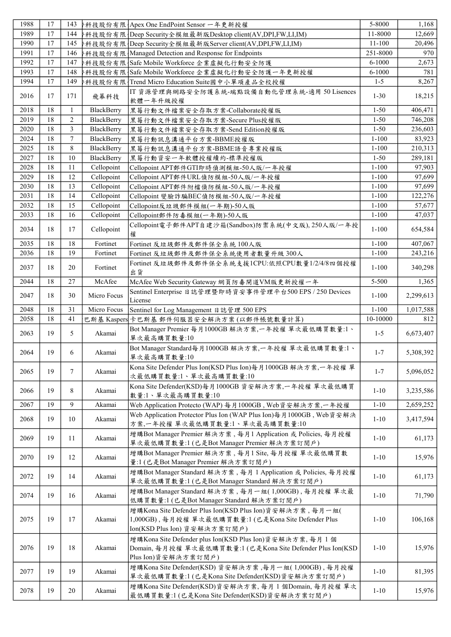| 1988 | 17 | 143            |             | ▶科技股份有限   Apex One EndPoint Sensor 一年更新授權                                                                             | 5-8000     | 1,168     |
|------|----|----------------|-------------|-----------------------------------------------------------------------------------------------------------------------|------------|-----------|
| 1989 | 17 | 144            |             | ト科技股份有限  Deep Security全模組最新版Desktop client(AV,DPI,FW,LI,IM)                                                           | 11-8000    | 12,669    |
| 1990 | 17 | 145            |             | ▶科技股份有限 {Deep Security全模組最新版Server client(AV,DPI,FW,LI,IM)                                                            | $11 - 100$ | 20,496    |
| 1991 | 17 | 146            |             | ▶科技股份有限   Managed Detection and Response for Endpoints                                                                | 251-8000   | 970       |
| 1992 | 17 | 147            |             | ト科技股份有限 {Safe Mobile Workforce 企業虛擬化行動安全防護                                                                            | 6-1000     | 2,673     |
| 1993 | 17 | 148            |             | *科技股份有限   Safe Mobile Workforce 企業虛擬化行動安全防護一年更新授權                                                                     | $6 - 1000$ | 781       |
| 1994 | 17 | 149            |             | ·科技股份有限  Trend Micro Education Suite國中小單項產品全校授權                                                                       | $1 - 5$    | 8,267     |
| 2016 | 17 | 171            | 飛幕科技        | IT 資源管理與網路安全防護系統-端點設備自動化管理系統-適用 50 Lisences<br>軟體一年升級授權                                                               | $1 - 30$   | 18,215    |
| 2018 | 18 | $\mathbf{1}$   | BlackBerry  | 黑莓行動文件檔案安全存取方案-Collaborate授權版                                                                                         | $1 - 50$   | 406,471   |
| 2019 | 18 | $\overline{c}$ | BlackBerry  | 黑莓行動文件檔案安全存取方案-Secure Plus授權版                                                                                         | $1 - 50$   | 746,208   |
| 2020 | 18 | 3              | BlackBerry  | 黑莓行動文件檔案安全存取方案-Send Edition授權版                                                                                        | $1 - 50$   | 236,603   |
| 2024 | 18 | 7              | BlackBerry  | 黑莓行動訊息溝通平台方案-BBME授權版                                                                                                  | $1 - 100$  | 83,923    |
| 2025 | 18 | 8              | BlackBerry  | 黑莓行動訊息溝通平台方案-BBME語音專業授權版                                                                                              | $1 - 100$  | 210,313   |
| 2027 | 18 | 10             | BlackBerry  | 黑莓行動資安一年軟體授權續約-標準授權版                                                                                                  | $1 - 50$   | 289,181   |
| 2028 | 18 | 11             | Cellopoint  | Cellopoint APT郵件GTI即時偵測模組-50人版/一年授權                                                                                   | $1 - 100$  | 97,903    |
| 2029 | 18 | 12             | Cellopoint  | Cellopoint APT郵件URL偵防模組-50人版/一年授權                                                                                     | $1 - 100$  | 97,699    |
| 2030 | 18 | 13             | Cellopoint  | Cellopoint APT郵件附檔偵防模組-50人版/一年授權                                                                                      | $1 - 100$  | 97,699    |
| 2031 | 18 | 14             | Cellopoint  | Cellopoint 變臉詐騙BEC偵防模組-50人版/一年授權                                                                                      | $1 - 100$  | 122,276   |
| 2032 | 18 | 15             | Cellopoint  | Cellopoint反垃圾郵件模組(一年期)-50人版                                                                                           | $1 - 100$  | 57,677    |
| 2033 | 18 | 16             | Cellopoint  | Cellopoint郵件防毒模組(一年期)-50人版                                                                                            | $1 - 100$  | 47,037    |
| 2034 | 18 | 17             | Cellopoint  | Cellopoint電子郵件APT自建沙箱(Sandbox)防禦系統(中文版), 250人版/一年授<br>權                                                               | $1 - 100$  | 654,584   |
| 2035 | 18 | 18             | Fortinet    | Fortinet 反垃圾郵件及郵件保全系統 100人版                                                                                           | $1 - 100$  | 407,067   |
| 2036 | 18 | 19             | Fortinet    | Fortinet 反垃圾郵件及郵件保全系統使用者數量升級300人                                                                                      | $1 - 100$  | 243,216   |
|      |    |                |             | Fortinet 反垃圾郵件及郵件保全系統支援1CPU:依照CPU數量1/2/4/8四個授權                                                                        |            |           |
| 2037 | 18 | 20             | Fortinet    | 出貨                                                                                                                    | $1 - 100$  | 340,298   |
| 2044 | 18 | 27             | McAfee      | McAfee Web Security Gateway 網頁防毒閘道VM版更新授權一年                                                                           | 5-500      | 1,365     |
| 2047 | 18 | 30             | Micro Focus | Sentinel Enterprise 日誌管理暨即時資安事件管理平台500 EPS / 250 Devices<br>License                                                   | $1 - 100$  | 2,299,613 |
| 2048 | 18 | 31             | Micro Focus | Sentinel for Log Management 日誌管理 500 EPS                                                                              | $1 - 100$  | 1,017,588 |
| 2058 | 18 | 41             |             | 巴斯基 Kaspers 卡巴斯基 郵件伺服器安全解決方案(以郵件帳號數量計算)                                                                               | 10-10000   | 812       |
| 2063 | 19 | 5              | Akamai      | Bot Manager Premier 每月1000GB 解決方案,一年授權 單次最低購買數量:1、<br>單次最高購買數量:10                                                     | $1 - 5$    | 6,673,407 |
| 2064 | 19 | 6              | Akamai      | Bot Manager Standard每月1000GB 解決方案,一年授權 單次最低購買數量:1、<br>單次最高購買數量:10                                                     | $1 - 7$    | 5,308,392 |
| 2065 | 19 | $\tau$         | Akamai      | Kona Site Defender Plus Ion(KSD Plus Ion)每月1000GB 解決方案,一年授權 單<br>次最低購買數量:1、單次最高購買數量:10                                | $1 - 7$    | 5,096,052 |
| 2066 | 19 | 8              | Akamai      | Kona Site Defender(KSD)每月1000GB 資安解決方案,一年授權 單次最低購買<br>數量:1、單次最高購買數量:10                                                | $1 - 10$   | 3,235,586 |
| 2067 | 19 | 9              | Akamai      | Web Application Protecto (WAP) 每月1000GB, Web資安解決方案,一年授權                                                               | $1 - 10$   | 2,659,252 |
| 2068 | 19 | 10             | Akamai      | Web Application Protector Plus Ion (WAP Plus Ion)每月1000GB, Web資安解決<br>方案,一年授權 單次最低購買數量:1、單次最高購買數量:10                  | $1 - 10$   | 3,417,594 |
| 2069 | 19 | 11             | Akamai      | 增購Bot Manager Premier 解決方案, 每月1 Application 或 Policies, 每月授權<br>單次最低購買數量:1(已是Bot Manager Premier 解決方案訂閱戶)             | $1 - 10$   | 61,173    |
| 2070 | 19 | 12             | Akamai      | 增購Bot Manager Premier 解決方案, 每月1 Site, 每月授權 單次最低購買數<br>量:1 (已是Bot Manager Premier 解決方案訂閱戶)                             | $1-10$     | 15,976    |
| 2072 | 19 | 14             | Akamai      | 增購Bot Manager Standard 解決方案, 每月 1 Application 或 Policies, 每月授權<br>單次最低購買數量:1 (已是Bot Manager Standard 解決方案訂閱戶)         | $1 - 10$   | 61,173    |
| 2074 | 19 | 16             | Akamai      | 增購Bot Manager Standard 解決方案,每月一組(1,000GB),每月授權 單次最<br>低購買數量:1 (已是Bot Manager Standard 解決方案訂閱戶)                        | $1 - 10$   | 71,790    |
|      |    |                |             | 增購Kona Site Defender Plus Ion(KSD Plus Ion)資安解決方案,每月一組(                                                               |            |           |
| 2075 | 19 | 17             | Akamai      | 1,000GB), 每月授權 單次最低購買數量:1 (已是Kona Site Defender Plus<br>Ion(KSD Plus Ion) 資安解決方案訂閱戶)                                  | $1 - 10$   | 106,168   |
| 2076 | 19 | 18             | Akamai      | 增購Kona Site Defender plus Ion(KSD Plus Ion)資安解決方案, 每月1個<br>Domain, 每月授權 單次最低購買數量:1 (已是Kona Site Defender Plus Ion(KSD | $1 - 10$   | 15,976    |
|      |    |                |             | Plus Ion)資安解決方案訂閱戶)                                                                                                   |            |           |
| 2077 | 19 | 19             | Akamai      | 增購Kona Site Defender(KSD) 資安解決方案,每月一組(1,000GB), 每月授權<br>單次最低購買數量:1(已是Kona Site Defender(KSD)資安解決方案訂閱戶)                | $1 - 10$   | 81,395    |
| 2078 | 19 | 20             | Akamai      | 增購Kona Site Defender(KSD)資安解決方案, 每月 1 個Domain, 每月授權 單次<br>最低購買數量:1(已是Kona Site Defender(KSD)資安解決方案訂閱戶)                | $1 - 10$   | 15,976    |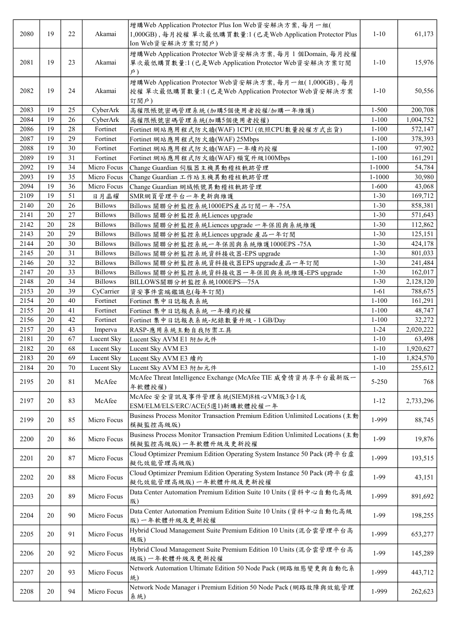| 2080 | 19     | 22 | Akamai         | 增購Web Application Protector Plus Ion Web資安解決方案,每月一組(<br>1,000GB), 每月授權單次最低購買數量:1 (已是Web Application Protector Plus<br>Ion Web資安解決方案訂閱戶) | $1 - 10$   | 61,173    |
|------|--------|----|----------------|-----------------------------------------------------------------------------------------------------------------------------------------|------------|-----------|
| 2081 | 19     | 23 | Akamai         | 增購Web Application Protector Web資安解決方案, 每月1個Domain, 每月授權<br>單次最低購買數量:1 (已是Web Application Protector Web資安解決方案訂閱<br>$\beta$ )             | $1 - 10$   | 15,976    |
| 2082 | 19     | 24 | Akamai         | 增購Web Application Protector Web資安解決方案, 每月一組(1,000GB), 每月<br>授權單次最低購買數量:1 (已是Web Application Protector Web資安解決方案<br>訂閱戶)                 | $1 - 10$   | 50,556    |
| 2083 | 19     | 25 | CyberArk       | 高權限帳號密碼管理系統(加購5個使用者授權/加購一年維護)                                                                                                           | $1 - 500$  | 200,708   |
| 2084 | 19     | 26 | CyberArk       | 高權限帳號密碼管理系統(加購5個使用者授權)                                                                                                                  | $1 - 100$  | 1,004,752 |
| 2086 | 19     | 28 | Fortinet       | Fortinet 網站應用程式防火牆(WAF) 1CPU (依照CPU數量授權方式出貨)                                                                                            | $1 - 100$  | 572,147   |
| 2087 | 19     | 29 | Fortinet       | Fortinet 網站應用程式防火牆(WAF) 25Mbps                                                                                                          | $1 - 100$  | 378,393   |
| 2088 | 19     | 30 | Fortinet       | Fortinet 網站應用程式防火牆(WAF) 一年續約授權                                                                                                          | $1 - 100$  | 97,902    |
| 2089 | 19     | 31 | Fortinet       | Fortinet 網站應用程式防火牆(WAF) 頻寬升級100Mbps                                                                                                     | $1 - 100$  | 161,291   |
| 2092 | 19     | 34 | Micro Focus    | Change Guardian 伺服器主機異動稽核軌跡管理                                                                                                           | $1 - 1000$ | 54,784    |
| 2093 | 19     | 35 | Micro Focus    | Change Guardian 工作站主機異動稽核軌跡管理                                                                                                           | 1-1000     | 30,980    |
| 2094 | 19     | 36 | Micro Focus    | Change Guardian 網域帳號異動稽核軌跡管理                                                                                                            | $1 - 600$  | 43,068    |
| 2109 | 19     | 51 | 日月晶耀           | SMR網頁管理平台一年更新與維護                                                                                                                        | $1 - 30$   | 169,712   |
| 2140 | 20     | 26 | <b>Billows</b> | Billows 關聯分析監控系統1000EPS產品訂閱一年-75A                                                                                                       | $1 - 30$   | 858,381   |
| 2141 | 20     | 27 | <b>Billows</b> | Billows 關聯分析監控系統Liences upgrade                                                                                                         | $1 - 30$   | 571,643   |
| 2142 | 20     | 28 | <b>Billows</b> | Billows 關聯分析監控系統Liences upgrade 一年保固與系統維護                                                                                               | $1 - 30$   | 112,862   |
| 2143 | 20     | 29 | <b>Billows</b> | Billows 關聯分析監控系統Liences upgrade 產品一年訂閱                                                                                                  | $1 - 30$   | 125,151   |
| 2144 | 20     | 30 | <b>Billows</b> | Billows 關聯分析監控系統一年保固與系統維護1000EPS-75A                                                                                                    | $1 - 30$   | 424,178   |
| 2145 | 20     | 31 | <b>Billows</b> | Billows 關聯分析監控系統資料接收器-EPS upgrade                                                                                                       | $1 - 30$   | 801,033   |
| 2146 | 20     | 32 | <b>Billows</b> |                                                                                                                                         | $1 - 30$   | 241,484   |
|      |        |    |                | Billows 關聯分析監控系統資料接收器EPS upgrade產品一年訂閱                                                                                                  |            |           |
| 2147 | 20     | 33 | <b>Billows</b> | Billows 關聯分析監控系統資料接收器一年保固與系統維護-EPS upgrade                                                                                              | $1 - 30$   | 162,017   |
| 2148 | 20     | 34 | <b>Billows</b> | BILLOWS關聯分析監控系統1000EPS-75A                                                                                                              | $1 - 30$   | 2,128,120 |
| 2153 | 20     | 39 | CyCarrier      | 資安事件雲端鑑識包(每年訂閱)                                                                                                                         | $1-61$     | 788,675   |
| 2154 | 20     | 40 | Fortinet       | Fortinet 集中日誌報表系統                                                                                                                       | $1 - 100$  | 161,291   |
| 2155 | 20     | 41 | Fortinet       | Fortinet 集中日誌報表系統 一年續約授權                                                                                                                | $1 - 100$  | 48,747    |
| 2156 | 20     | 42 | Fortinet       | Fortinet 集中日誌報表系統-紀錄數量升級 - 1 GB/Day                                                                                                     | $1 - 100$  | 32,272    |
| 2157 | 20     | 43 | Imperva        | RASP-應用系統主動自我防禦工具                                                                                                                       | $1 - 24$   | 2,020,222 |
| 2181 | 20     | 67 | Lucent Sky     | Lucent Sky AVM E1 附加元件                                                                                                                  | $1 - 10$   | 63,498    |
| 2182 | 20     | 68 | Lucent Sky     | Lucent Sky AVM E3                                                                                                                       | $1 - 10$   | 1,920,627 |
| 2183 | $20\,$ | 69 | Lucent Sky     | Lucent Sky AVM E3 績約                                                                                                                    | $1 - 10$   | 1,824,570 |
| 2184 | 20     | 70 | Lucent Sky     | Lucent Sky AVM E3 附加元件                                                                                                                  | $1 - 10$   | 255,612   |
| 2195 | 20     | 81 | McAfee         | McAfee Threat Intelligence Exchange (McAfee TIE 威脅情資共享平台最新版一<br>年軟體授權)                                                                  | 5-250      | 768       |
| 2197 | 20     | 83 | McAfee         | McAfee 安全資訊及事件管理系統(SIEM)8核心VM版3合1或<br>ESM/ELM/ELS/ERC/ACE(5選1)新購軟體授權一年                                                                  | $1 - 12$   | 2,733,296 |
| 2199 | 20     | 85 | Micro Focus    | Business Process Monitor Transaction Premium Edition Unlimited Locations (主動<br>模擬監控高級版)                                                | 1-999      | 88,745    |
| 2200 | 20     | 86 | Micro Focus    | Business Process Monitor Transaction Premium Edition Unlimited Locations (主動<br>模擬監控高級版)一年軟體升級及更新授權                                     | 1-99       | 19,876    |
| 2201 | 20     | 87 | Micro Focus    | Cloud Optimizer Premium Edition Operating System Instance 50 Pack (跨平台虛<br>擬化效能管理高級版)                                                   | 1-999      | 193,515   |
| 2202 | 20     | 88 | Micro Focus    | Cloud Optimizer Premium Edition Operating System Instance 50 Pack (跨平台虛<br>擬化效能管理高級版)一年軟體升級及更新授權                                        | 1-99       | 43,151    |
| 2203 | 20     | 89 | Micro Focus    | Data Center Automation Premium Edition Suite 10 Units (資料中心自動化高級<br>版)                                                                  | 1-999      | 891,692   |
| 2204 | 20     | 90 | Micro Focus    | Data Center Automation Premium Edition Suite 10 Units (資料中心自動化高級<br>版)一年軟體升級及更新授權                                                       | $1-99$     | 198,255   |
| 2205 | 20     | 91 | Micro Focus    | Hybrid Cloud Management Suite Premium Edition 10 Units (混合雲管理平台高<br>級版)                                                                 | 1-999      | 653,277   |
| 2206 | 20     | 92 | Micro Focus    | Hybrid Cloud Management Suite Premium Edition 10 Units (混合雲管理平台高<br>級版)一年軟體升級及更新授權                                                      | $1-99$     | 145,289   |
| 2207 | 20     | 93 | Micro Focus    | Network Automation Ultimate Edition 50 Node Pack (網路組態變更與自動化系<br>統)                                                                     | 1-999      | 443,712   |
| 2208 | 20     | 94 | Micro Focus    | Network Node Manager i Premium Edition 50 Node Pack (網路故障與效能管理<br>系統)                                                                   | 1-999      | 262,623   |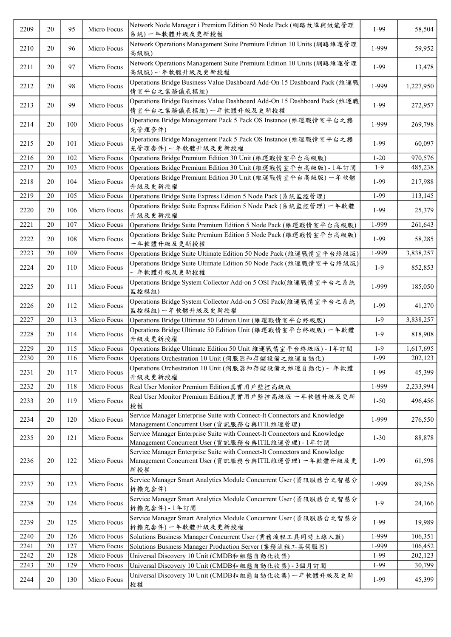| 2209 | 20     | 95  | Micro Focus | Network Node Manager i Premium Edition 50 Node Pack (網路故障與效能管理<br>系統)一年軟體升級及更新授權                                                         | 1-99     | 58,504    |
|------|--------|-----|-------------|------------------------------------------------------------------------------------------------------------------------------------------|----------|-----------|
| 2210 | 20     | 96  | Micro Focus | Network Operations Management Suite Premium Edition 10 Units (網路維運管理<br>高級版)                                                             | 1-999    | 59,952    |
| 2211 | 20     | 97  | Micro Focus | Network Operations Management Suite Premium Edition 10 Units (網路維運管理<br>高級版)一年軟體升級及更新授權                                                  | 1-99     | 13,478    |
| 2212 | 20     | 98  | Micro Focus | Operations Bridge Business Value Dashboard Add-On 15 Dashboard Pack (維運戰<br>情室平台之業務儀表模組)                                                 | 1-999    | 1,227,950 |
| 2213 | 20     | 99  | Micro Focus | Operations Bridge Business Value Dashboard Add-On 15 Dashboard Pack (維運戰<br>情室平台之業務儀表模組)一年軟體升級及更新授權                                      | 1-99     | 272,957   |
| 2214 | 20     | 100 | Micro Focus | Operations Bridge Management Pack 5 Pack OS Instance (維運戰情室平台之擴<br>充管理套件)                                                                | 1-999    | 269,798   |
| 2215 | 20     | 101 | Micro Focus | Operations Bridge Management Pack 5 Pack OS Instance (維運戰情室平台之擴<br>充管理套件)一年軟體升級及更新授權                                                     | 1-99     | 60,097    |
| 2216 | 20     | 102 | Micro Focus | Operations Bridge Premium Edition 30 Unit (維運戰情室平台高級版)                                                                                   | $1 - 20$ | 970,576   |
| 2217 | 20     | 103 | Micro Focus | Operations Bridge Premium Edition 30 Unit (維運戰情室平台高級版) - 1年訂閱                                                                            | $1-9$    | 485,238   |
| 2218 | 20     | 104 | Micro Focus | Operations Bridge Premium Edition 30 Unit (維運戰情室平台高級版) 一年軟體<br>升級及更新授權                                                                   | 1-99     | 217,988   |
| 2219 | 20     | 105 | Micro Focus | Operations Bridge Suite Express Edition 5 Node Pack (系統監控管理)                                                                             | 1-99     | 113,145   |
| 2220 | 20     | 106 | Micro Focus | Operations Bridge Suite Express Edition 5 Node Pack (系統監控管理) 一年軟體<br>升級及更新授權                                                             | $1-99$   | 25,379    |
| 2221 | 20     | 107 | Micro Focus | Operations Bridge Suite Premium Edition 5 Node Pack (維運戰情室平台高級版)                                                                         | 1-999    | 261,643   |
| 2222 | 20     | 108 | Micro Focus | Operations Bridge Suite Premium Edition 5 Node Pack (維運戰情室平台高級版)<br>一年軟體升級及更新授權                                                          | 1-99     | 58,285    |
| 2223 | 20     | 109 | Micro Focus | Operations Bridge Suite Ultimate Edition 50 Node Pack (維運戰情室平台終級版)                                                                       | 1-999    | 3,838,257 |
| 2224 | 20     | 110 | Micro Focus | Operations Bridge Suite Ultimate Edition 50 Node Pack (維運戰情室平台終級版)<br>一年軟體升級及更新授權                                                        | $1-9$    | 852,853   |
| 2225 | 20     | 111 | Micro Focus | Operations Bridge System Collector Add-on 5 OSI Pack(維運戰情室平台之系統<br>監控模組)                                                                 | 1-999    | 185,050   |
| 2226 | 20     | 112 | Micro Focus | Operations Bridge System Collector Add-on 5 OSI Pack(維運戰情室平台之系統<br>監控模組)一年軟體升級及更新授權                                                      | 1-99     | 41,270    |
| 2227 | 20     | 113 | Micro Focus | Operations Bridge Ultimate 50 Edition Unit (維運戰情室平台終級版)                                                                                  | $1-9$    | 3,838,257 |
| 2228 | 20     | 114 | Micro Focus | Operations Bridge Ultimate 50 Edition Unit (維運戰情室平台終級版) 一年軟體<br>升級及更新授權                                                                  | $1-9$    | 818,908   |
| 2229 | $20\,$ | 115 | Micro Focus | Operations Bridge Ultimate Edition 50 Unit 維運戰情室平台終級版) - 1年訂閱                                                                            | $1-9$    | 1,617,695 |
| 2230 | 20     | 116 | Micro Focus | Operations Orchestration 10 Unit (伺服器和存儲設備之維運自動化)                                                                                        | $1-99$   | 202,123   |
| 2231 | 20     | 117 | Micro Focus | Operations Orchestration 10 Unit (伺服器和存儲設備之維運自動化) 一年軟體<br>升級及更新授權                                                                        | 1-99     | 45,399    |
| 2232 | 20     | 118 | Micro Focus | Real User Monitor Premium Edition真實用戶監控高級版                                                                                               | 1-999    | 2,233,994 |
| 2233 | 20     | 119 | Micro Focus | Real User Monitor Premium Edition真實用戶監控高級版 一年軟體升級及更新<br>授權                                                                               | $1 - 50$ | 496,456   |
| 2234 | 20     | 120 | Micro Focus | Service Manager Enterprise Suite with Connect-It Connectors and Knowledge<br>Management Concurrent User (資訊服務台與ITIL維運管理)                 | 1-999    | 276,550   |
| 2235 | 20     | 121 | Micro Focus | Service Manager Enterprise Suite with Connect-It Connectors and Knowledge<br>Management Concurrent User (資訊服務台與ITIL維運管理) - 1年訂閱          | $1 - 30$ | 88,878    |
| 2236 | 20     | 122 | Micro Focus | Service Manager Enterprise Suite with Connect-It Connectors and Knowledge<br>Management Concurrent User (資訊服務台與ITIL維運管理) 一年軟體升級及更<br>新授權 | 1-99     | 61,598    |
| 2237 | 20     | 123 | Micro Focus | Service Manager Smart Analytics Module Concurrent User (資訊服務台之智慧分<br>析擴充套件)                                                              | 1-999    | 89,256    |
| 2238 | 20     | 124 | Micro Focus | Service Manager Smart Analytics Module Concurrent User (資訊服務台之智慧分<br>析擴充套件)-1年訂閱                                                         | $1-9$    | 24,166    |
| 2239 | 20     | 125 | Micro Focus | Service Manager Smart Analytics Module Concurrent User (資訊服務台之智慧分<br>析擴充套件)一年軟體升級及更新授權                                                   | 1-99     | 19,989    |
| 2240 | 20     | 126 | Micro Focus | Solutions Business Manager Concurrent User (業務流程工具同時上線人數)                                                                                | 1-999    | 106,351   |
| 2241 | 20     | 127 | Micro Focus | Solutions Business Manager Production Server (業務流程工具伺服器)                                                                                 | 1-999    | 106,452   |
| 2242 | 20     | 128 | Micro Focus | Universal Discovery 10 Unit (CMDB和 組態自動化收集)                                                                                              | 1-99     | 202,123   |
| 2243 | 20     | 129 | Micro Focus | Universal Discovery 10 Unit (CMDB和組態自動化收集) - 3個月訂閱                                                                                       | 1-99     | 30,799    |
| 2244 | 20     | 130 | Micro Focus | Universal Discovery 10 Unit (CMDB和組態自動化收集) 一年軟體升級及更新<br>授權                                                                               | 1-99     | 45,399    |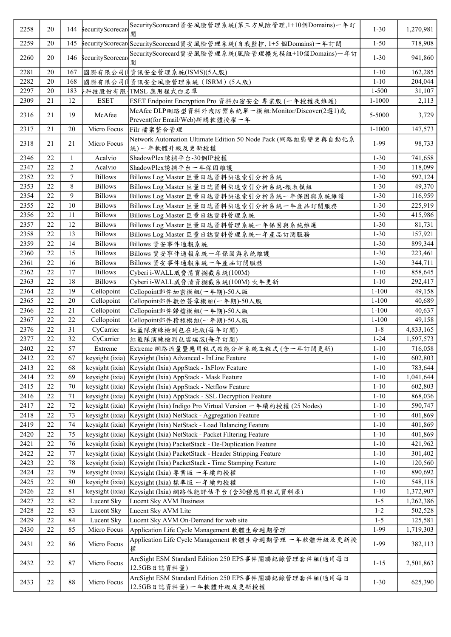| 2258 | 20     |                | 144 SecurityScorecare | SecurityScorecard資安風險管理系統(第三方風險管理,1+10個Domains)一年訂<br>閱                            | $1 - 30$   | 1,270,981 |
|------|--------|----------------|-----------------------|------------------------------------------------------------------------------------|------------|-----------|
| 2259 | 20     | 145            |                       | \$ecurityScorecar(SecurityScorecard資安風險管理系統(自我監控, 1+5 個Domains)一年訂閱                | $1 - 50$   | 718,908   |
| 2260 | 20     | 146            | securityScorecare     | SecurityScorecard資安風險管理系統(風險管理擴充模組+10個Domains)一年訂<br>閱                             | $1 - 30$   | 941,860   |
| 2281 | 20     | 167            |                       | 國際有限公司( ] 資訊安全管理系統(ISMS)(5人版)                                                      | $1 - 10$   | 162,285   |
| 2282 | 20     | 168            |                       | 國際有限公司( 資訊安全風險管理系統 (ISRM) (5人版)                                                    | $1 - 10$   | 204,044   |
| 2297 | 20     | 183            |                       | 科技股份有限   TMSL 應用程式白名單                                                              | $1 - 500$  | 31,107    |
| 2309 | 21     | 12             | <b>ESET</b>           | ESET Endpoint Encryption Pro 資料加密安全 專業版 (一年授權及維護)                                  | $1 - 1000$ | 2,113     |
| 2316 | 21     | 19             | McAfee                | McAfee DLP網路型資料外洩防禦系統單一模組:Monitor/Discover(2選1)或<br>Prevent(for Email/Web)新購軟體授權一年 | 5-5000     | 3,729     |
| 2317 | 21     | 20             | Micro Focus           | Filr 檔案整合管理                                                                        | $1 - 1000$ | 147,573   |
| 2318 | 21     | 21             | Micro Focus           | Network Automation Ultimate Edition 50 Node Pack (網路組態變更與自動化系<br>統)一年軟體升級及更新授權     | 1-99       | 98,733    |
| 2346 | 22     | 1              | Acalvio               | ShadowPlex誘捕平台-30個IP授權                                                             | $1 - 30$   | 741,658   |
| 2347 | 22     | $\overline{2}$ | Acalvio               | ShadowPlex誘捕平台一年保固維護                                                               | $1 - 30$   | 118,099   |
| 2352 | 22     | $\tau$         | <b>Billows</b>        | Billows Log Master 巨量日誌資料快速索引分析系統                                                  | $1 - 30$   | 592,124   |
| 2353 | 22     | 8              | <b>Billows</b>        | Billows Log Master 巨量日誌資料快速索引分析系統-報表模組                                             | $1 - 30$   | 49,370    |
| 2354 | 22     | 9              | <b>Billows</b>        | Billows Log Master 巨量日誌資料快速索引分析系統一年保固與系統維護                                         | $1 - 30$   | 116,959   |
| 2355 | 22     | 10             | <b>Billows</b>        | Billows Log Master 巨量日誌資料快速索引分析系統一年產品訂閱服務                                          | $1 - 30$   | 225,919   |
| 2356 | 22     | 11             | <b>Billows</b>        | Billows Log Master 巨量日誌資料管理系統                                                      | $1 - 30$   | 415,986   |
| 2357 | 22     | 12             | <b>Billows</b>        | Billows Log Master 巨量日誌資料管理系統一年保固與系統維護                                             | $1 - 30$   | 81,731    |
| 2358 | 22     | 13             | <b>Billows</b>        | Billows Log Master 巨量日誌資料管理系統一年產品訂閱服務                                              | $1 - 30$   | 157,921   |
| 2359 | 22     | 14             | <b>Billows</b>        | Billows 資安事件通報系統                                                                   | $1 - 30$   | 899,344   |
| 2360 | 22     | 15             | <b>Billows</b>        | Billows 資安事件通報系統一年保固與系統維護                                                          | $1 - 30$   | 223,461   |
| 2361 | $22\,$ | 16             | <b>Billows</b>        | Billows 資安事件通報系統一年產品訂閱服務                                                           | $1 - 30$   | 344,711   |
| 2362 | 22     | 17             | <b>Billows</b>        | Cyberi i-WALL 威脅情資攔截系統(100M)                                                       | $1 - 10$   | 858,645   |
| 2363 | 22     | 18             | <b>Billows</b>        | Cyberi i-WALL威脅情資攔截系統(100M) 次年更新                                                   | $1 - 10$   | 292,417   |
| 2364 | 22     | 19             | Cellopoint            | Cellopoint郵件加密模組(一年期)-50人版                                                         | $1 - 100$  | 49,158    |
| 2365 | 22     | 20             | Cellopoint            | Cellopoint郵件數位簽章模組(一年期)-50人版                                                       | $1 - 100$  | 40,689    |
| 2366 | 22     | 21             | Cellopoint            | Cellopoint郵件歸檔模組(一年期)-50人版                                                         | $1 - 100$  | 40,637    |
| 2367 | 22     | 22             | Cellopoint            | Cellopoint郵件稽核模組(一年期)-50人版                                                         | $1 - 100$  | 49,158    |
| 2376 | 22     | 31             | CyCarrier             | 紅藍隊演練檢測包在地版(每年訂閱)                                                                  | $1 - 8$    | 4,833,165 |
| 2377 | 22     | 32             | CyCarrier             | 紅藍隊演練檢測包雲端版(每年訂閱)                                                                  | $1 - 24$   | 1,597,573 |
| 2402 | $22\,$ | 57             | Extreme               | Extreme 網路流量暨應用程式效能分析系統主程式 (含一年訂閱更新)                                               | $1 - 10$   | 716,058   |
| 2412 | $22\,$ | 67             |                       | keysight (ixia)   Keysight (Ixia) Advanced - InLine Feature                        | $1 - 10$   | 602,803   |
| 2413 | 22     | 68             |                       | keysight (ixia)   Keysight (Ixia) AppStack - IxFlow Feature                        | $1 - 10$   | 783,644   |
| 2414 | 22     | 69             |                       | keysight (ixia)   Keysight (Ixia) AppStack - Mask Feature                          | $1 - 10$   | 1,041,644 |
| 2415 | 22     | 70             |                       | keysight (ixia)   Keysight (Ixia) AppStack - Netflow Feature                       | $1 - 10$   | 602,803   |
| 2416 | 22     | 71             |                       | keysight (ixia) Keysight (Ixia) AppStack - SSL Decryption Feature                  | $1 - 10$   | 868,036   |
| 2417 | 22     | 72             |                       | keysight (ixia)   Keysight (Ixia) Indigo Pro Virtual Version 一年續約授權 (25 Nodes)     | $1 - 10$   | 590,747   |
| 2418 | 22     | 73             |                       | keysight (ixia)   Keysight (Ixia) NetStack - Aggregation Feature                   | $1 - 10$   | 401,869   |
| 2419 | 22     | 74             |                       | keysight (ixia) Keysight (Ixia) NetStack - Load Balancing Feature                  | $1 - 10$   | 401,869   |
| 2420 | 22     | 75             |                       | keysight (ixia)   Keysight (Ixia) NetStack - Packet Filtering Feature              | $1 - 10$   | 401,869   |
| 2421 | $22\,$ | 76             |                       | keysight (ixia) Keysight (Ixia) PacketStack - De-Duplication Feature               | $1 - 10$   | 421,962   |
| 2422 | 22     | 77             |                       | keysight (ixia)   Keysight (Ixia) PacketStack - Header Stripping Feature           | $1 - 10$   | 301,402   |
| 2423 | 22     | 78             |                       | keysight (ixia)   Keysight (Ixia) PacketStack - Time Stamping Feature              | $1 - 10$   | 120,560   |
| 2424 | 22     | 79             |                       | keysight (ixia)   Keysight (Ixia) 專業版 一年續約授權                                       | $1 - 10$   | 890,692   |
| 2425 | 22     | 80             |                       | keysight (ixia)   Keysight (Ixia) 標準版 一年續約授權                                       | $1 - 10$   | 548,118   |
| 2426 | 22     | 81             | keysight (ixia)       | Keysight (Ixia) 網路性能評估平台 (含30種應用程式資料庫)                                             | $1 - 10$   | 1,372,907 |
| 2427 | 22     | 82             | Lucent Sky            | Lucent Sky AVM Business                                                            | $1 - 5$    | 1,262,386 |
| 2428 | 22     | 83             | Lucent Sky            | Lucent Sky AVM Lite                                                                | $1 - 2$    | 502,528   |
| 2429 | 22     | 84             | Lucent Sky            | Lucent Sky AVM On-Demand for web site                                              | $1 - 5$    | 125,581   |
| 2430 | 22     | 85             | Micro Focus           | Application Life Cycle Management 軟體生命週期管理                                         | 1-99       | 1,719,303 |
| 2431 | 22     | 86             | Micro Focus           | Application Life Cycle Management 軟體生命週期管理 一年軟體升級及更新授<br>權                         | 1-99       | 382,113   |
| 2432 | 22     | $87\,$         | Micro Focus           | ArcSight ESM Standard Edition 250 EPS事件關聯紀錄管理套件組(適用每日<br>12.5GB日誌資料量)              | $1 - 15$   | 2,501,863 |
| 2433 | 22     | $88\,$         | Micro Focus           | ArcSight ESM Standard Edition 250 EPS事件關聯紀錄管理套件組(適用每日<br>12.5GB日誌資料量)一年軟體升級及更新授權   | $1 - 30$   | 625,390   |